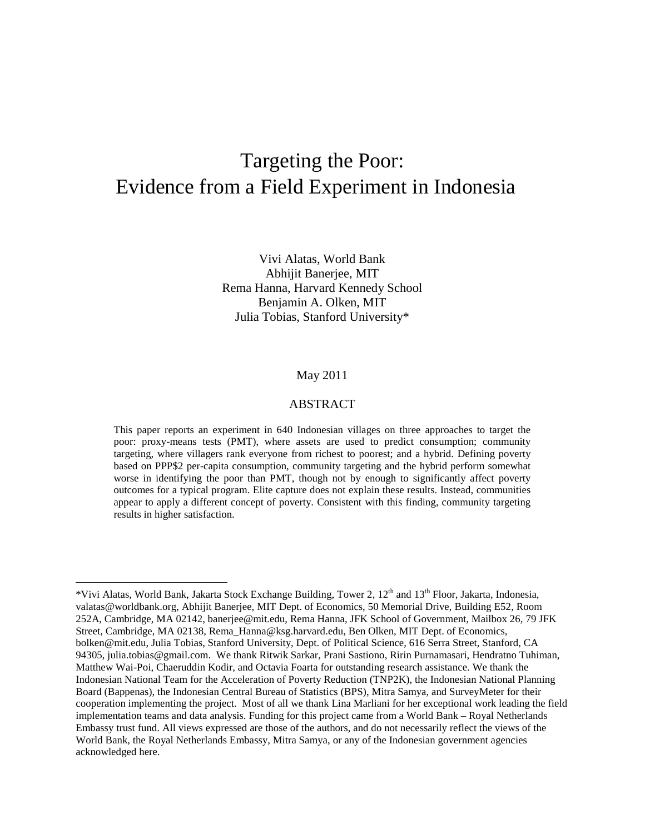# Targeting the Poor: Evidence from a Field Experiment in Indonesia

Vivi Alatas, World Bank Abhijit Banerjee, MIT Rema Hanna, Harvard Kennedy School Benjamin A. Olken, MIT Julia Tobias, Stanford University\*

#### May 2011

## ABSTRACT

This paper reports an experiment in 640 Indonesian villages on three approaches to target the poor: proxy-means tests (PMT), where assets are used to predict consumption; community targeting, where villagers rank everyone from richest to poorest; and a hybrid. Defining poverty based on PPP\$2 per-capita consumption, community targeting and the hybrid perform somewhat worse in identifying the poor than PMT, though not by enough to significantly affect poverty outcomes for a typical program. Elite capture does not explain these results. Instead, communities appear to apply a different concept of poverty. Consistent with this finding, community targeting results in higher satisfaction.

 $\overline{a}$ 

<sup>\*</sup>Vivi Alatas, World Bank, Jakarta Stock Exchange Building, Tower 2, 12<sup>th</sup> and 13<sup>th</sup> Floor, Jakarta, Indonesia, valatas@worldbank.org, Abhijit Banerjee, MIT Dept. of Economics, 50 Memorial Drive, Building E52, Room 252A, Cambridge, MA 02142, banerjee@mit.edu, Rema Hanna, JFK School of Government, Mailbox 26, 79 JFK Street, Cambridge, MA 02138, Rema\_Hanna@ksg.harvard.edu, Ben Olken, MIT Dept. of Economics, bolken@mit.edu, Julia Tobias, Stanford University, Dept. of Political Science, 616 Serra Street, Stanford, CA 94305, julia.tobias@gmail.com. We thank Ritwik Sarkar, Prani Sastiono, Ririn Purnamasari, Hendratno Tuhiman, Matthew Wai-Poi, Chaeruddin Kodir, and Octavia Foarta for outstanding research assistance. We thank the Indonesian National Team for the Acceleration of Poverty Reduction (TNP2K), the Indonesian National Planning Board (Bappenas), the Indonesian Central Bureau of Statistics (BPS), Mitra Samya, and SurveyMeter for their cooperation implementing the project. Most of all we thank Lina Marliani for her exceptional work leading the field implementation teams and data analysis. Funding for this project came from a World Bank – Royal Netherlands Embassy trust fund. All views expressed are those of the authors, and do not necessarily reflect the views of the World Bank, the Royal Netherlands Embassy, Mitra Samya, or any of the Indonesian government agencies acknowledged here.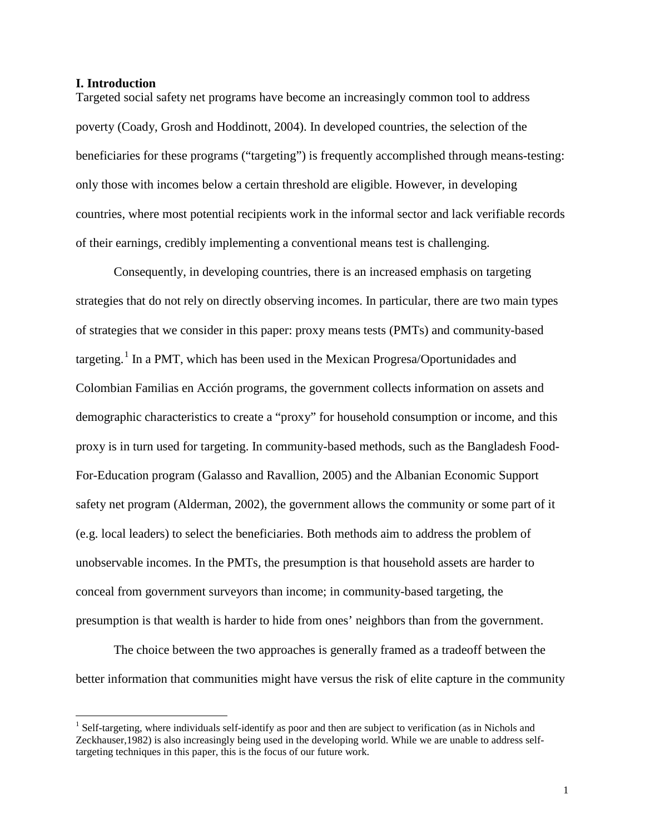#### **I. Introduction**

Targeted social safety net programs have become an increasingly common tool to address poverty (Coady, Grosh and Hoddinott, 2004). In developed countries, the selection of the beneficiaries for these programs ("targeting") is frequently accomplished through means-testing: only those with incomes below a certain threshold are eligible. However, in developing countries, where most potential recipients work in the informal sector and lack verifiable records of their earnings, credibly implementing a conventional means test is challenging.

Consequently, in developing countries, there is an increased emphasis on targeting strategies that do not rely on directly observing incomes. In particular, there are two main types of strategies that we consider in this paper: proxy means tests (PMTs) and community-based targeting.<sup>[1](#page-1-0)</sup> In a PMT, which has been used in the Mexican Progresa/Oportunidades and Colombian Familias en Acción programs, the government collects information on assets and demographic characteristics to create a "proxy" for household consumption or income, and this proxy is in turn used for targeting. In community-based methods, such as the Bangladesh Food-For-Education program (Galasso and Ravallion, 2005) and the Albanian Economic Support safety net program (Alderman, 2002), the government allows the community or some part of it (e.g. local leaders) to select the beneficiaries. Both methods aim to address the problem of unobservable incomes. In the PMTs, the presumption is that household assets are harder to conceal from government surveyors than income; in community-based targeting, the presumption is that wealth is harder to hide from ones' neighbors than from the government.

The choice between the two approaches is generally framed as a tradeoff between the better information that communities might have versus the risk of elite capture in the community

<span id="page-1-0"></span><sup>&</sup>lt;sup>1</sup> Self-targeting, where individuals self-identify as poor and then are subject to verification (as in Nichols and Zeckhauser,1982) is also increasingly being used in the developing world. While we are unable to address selftargeting techniques in this paper, this is the focus of our future work.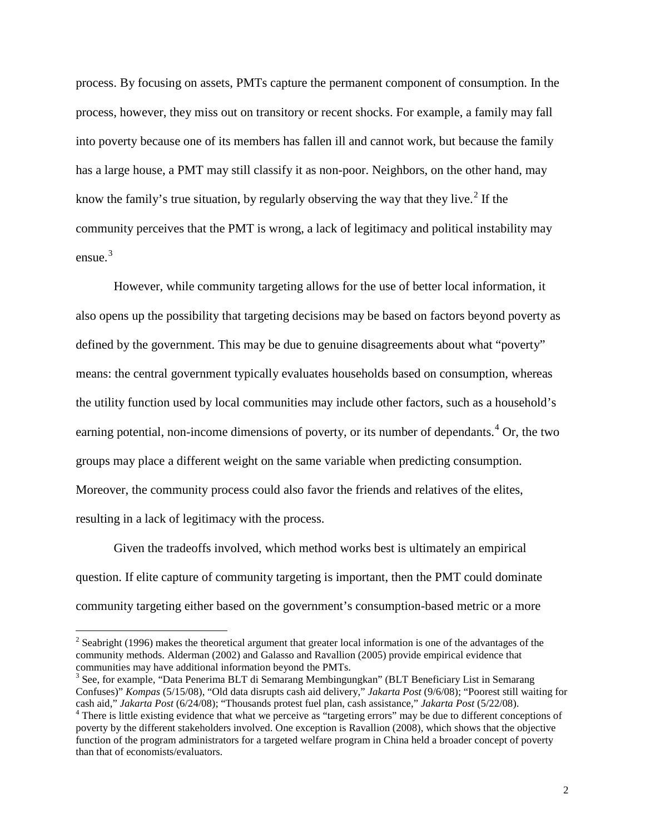process. By focusing on assets, PMTs capture the permanent component of consumption. In the process, however, they miss out on transitory or recent shocks. For example, a family may fall into poverty because one of its members has fallen ill and cannot work, but because the family has a large house, a PMT may still classify it as non-poor. Neighbors, on the other hand, may know the family's true situation, by regularly observing the way that they live.<sup>[2](#page-2-0)</sup> If the community perceives that the PMT is wrong, a lack of legitimacy and political instability may ensue. [3](#page-2-1)

However, while community targeting allows for the use of better local information, it also opens up the possibility that targeting decisions may be based on factors beyond poverty as defined by the government. This may be due to genuine disagreements about what "poverty" means: the central government typically evaluates households based on consumption, whereas the utility function used by local communities may include other factors, such as a household's earning potential, non-income dimensions of poverty, or its number of dependants.<sup>[4](#page-2-2)</sup> Or, the two groups may place a different weight on the same variable when predicting consumption. Moreover, the community process could also favor the friends and relatives of the elites, resulting in a lack of legitimacy with the process.

Given the tradeoffs involved, which method works best is ultimately an empirical question. If elite capture of community targeting is important, then the PMT could dominate community targeting either based on the government's consumption-based metric or a more

<span id="page-2-0"></span> $2$  Seabright (1996) makes the theoretical argument that greater local information is one of the advantages of the community methods. Alderman (2002) and Galasso and Ravallion (2005) provide empirical evidence that

<span id="page-2-1"></span> $3$  See, for example, "Data Penerima BLT di Semarang Membingungkan" (BLT Beneficiary List in Semarang Confuses)" *Kompas* (5/15/08), "Old data disrupts cash aid delivery," *Jakarta Post* (9/6/08); "Poorest still waiting for

<span id="page-2-2"></span><sup>&</sup>lt;sup>4</sup> There is little existing evidence that what we perceive as "targeting errors" may be due to different conceptions of poverty by the different stakeholders involved. One exception is Ravallion (2008), which shows that the objective function of the program administrators for a targeted welfare program in China held a broader concept of poverty than that of economists/evaluators.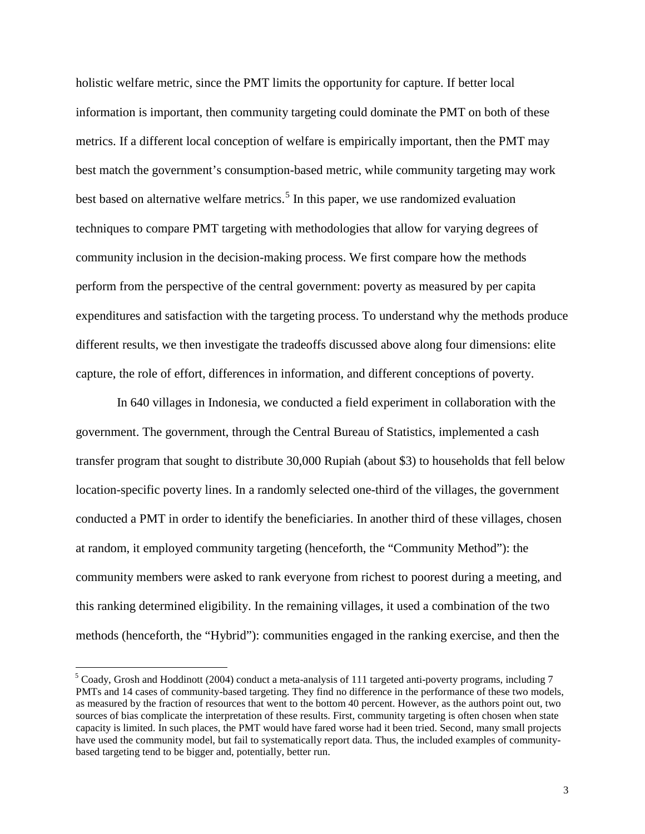holistic welfare metric, since the PMT limits the opportunity for capture. If better local information is important, then community targeting could dominate the PMT on both of these metrics. If a different local conception of welfare is empirically important, then the PMT may best match the government's consumption-based metric, while community targeting may work best based on alternative welfare metrics.<sup>[5](#page-3-0)</sup> In this paper, we use randomized evaluation techniques to compare PMT targeting with methodologies that allow for varying degrees of community inclusion in the decision-making process. We first compare how the methods perform from the perspective of the central government: poverty as measured by per capita expenditures and satisfaction with the targeting process. To understand why the methods produce different results, we then investigate the tradeoffs discussed above along four dimensions: elite capture, the role of effort, differences in information, and different conceptions of poverty.

In 640 villages in Indonesia, we conducted a field experiment in collaboration with the government. The government, through the Central Bureau of Statistics, implemented a cash transfer program that sought to distribute 30,000 Rupiah (about \$3) to households that fell below location-specific poverty lines. In a randomly selected one-third of the villages, the government conducted a PMT in order to identify the beneficiaries. In another third of these villages, chosen at random, it employed community targeting (henceforth, the "Community Method"): the community members were asked to rank everyone from richest to poorest during a meeting, and this ranking determined eligibility. In the remaining villages, it used a combination of the two methods (henceforth, the "Hybrid"): communities engaged in the ranking exercise, and then the

<span id="page-3-0"></span> <sup>5</sup> Coady, Grosh and Hoddinott (2004) conduct a meta-analysis of 111 targeted anti-poverty programs, including 7 PMTs and 14 cases of community-based targeting. They find no difference in the performance of these two models, as measured by the fraction of resources that went to the bottom 40 percent. However, as the authors point out, two sources of bias complicate the interpretation of these results. First, community targeting is often chosen when state capacity is limited. In such places, the PMT would have fared worse had it been tried. Second, many small projects have used the community model, but fail to systematically report data. Thus, the included examples of communitybased targeting tend to be bigger and, potentially, better run.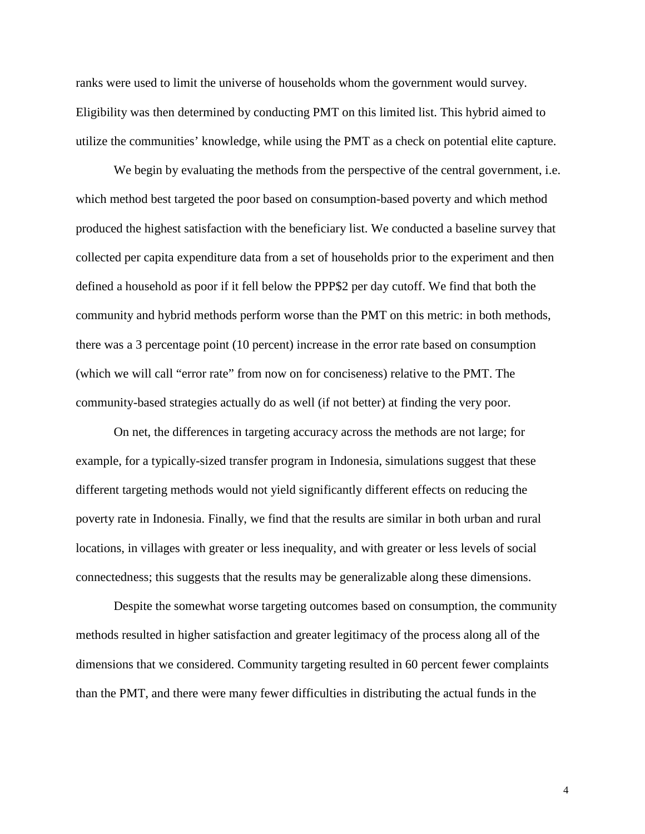ranks were used to limit the universe of households whom the government would survey. Eligibility was then determined by conducting PMT on this limited list. This hybrid aimed to utilize the communities' knowledge, while using the PMT as a check on potential elite capture.

We begin by evaluating the methods from the perspective of the central government, *i.e.* which method best targeted the poor based on consumption-based poverty and which method produced the highest satisfaction with the beneficiary list. We conducted a baseline survey that collected per capita expenditure data from a set of households prior to the experiment and then defined a household as poor if it fell below the PPP\$2 per day cutoff. We find that both the community and hybrid methods perform worse than the PMT on this metric: in both methods, there was a 3 percentage point (10 percent) increase in the error rate based on consumption (which we will call "error rate" from now on for conciseness) relative to the PMT. The community-based strategies actually do as well (if not better) at finding the very poor.

On net, the differences in targeting accuracy across the methods are not large; for example, for a typically-sized transfer program in Indonesia, simulations suggest that these different targeting methods would not yield significantly different effects on reducing the poverty rate in Indonesia. Finally, we find that the results are similar in both urban and rural locations, in villages with greater or less inequality, and with greater or less levels of social connectedness; this suggests that the results may be generalizable along these dimensions.

Despite the somewhat worse targeting outcomes based on consumption, the community methods resulted in higher satisfaction and greater legitimacy of the process along all of the dimensions that we considered. Community targeting resulted in 60 percent fewer complaints than the PMT, and there were many fewer difficulties in distributing the actual funds in the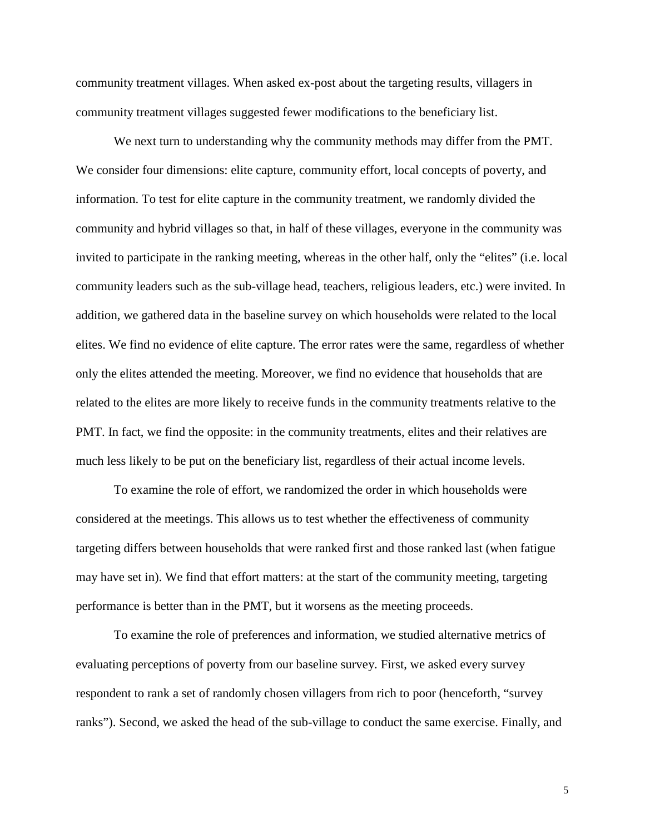community treatment villages. When asked ex-post about the targeting results, villagers in community treatment villages suggested fewer modifications to the beneficiary list.

We next turn to understanding why the community methods may differ from the PMT. We consider four dimensions: elite capture, community effort, local concepts of poverty, and information. To test for elite capture in the community treatment, we randomly divided the community and hybrid villages so that, in half of these villages, everyone in the community was invited to participate in the ranking meeting, whereas in the other half, only the "elites" (i.e. local community leaders such as the sub-village head, teachers, religious leaders, etc.) were invited. In addition, we gathered data in the baseline survey on which households were related to the local elites. We find no evidence of elite capture. The error rates were the same, regardless of whether only the elites attended the meeting. Moreover, we find no evidence that households that are related to the elites are more likely to receive funds in the community treatments relative to the PMT. In fact, we find the opposite: in the community treatments, elites and their relatives are much less likely to be put on the beneficiary list, regardless of their actual income levels.

To examine the role of effort, we randomized the order in which households were considered at the meetings. This allows us to test whether the effectiveness of community targeting differs between households that were ranked first and those ranked last (when fatigue may have set in). We find that effort matters: at the start of the community meeting, targeting performance is better than in the PMT, but it worsens as the meeting proceeds.

To examine the role of preferences and information, we studied alternative metrics of evaluating perceptions of poverty from our baseline survey. First, we asked every survey respondent to rank a set of randomly chosen villagers from rich to poor (henceforth, "survey ranks"). Second, we asked the head of the sub-village to conduct the same exercise. Finally, and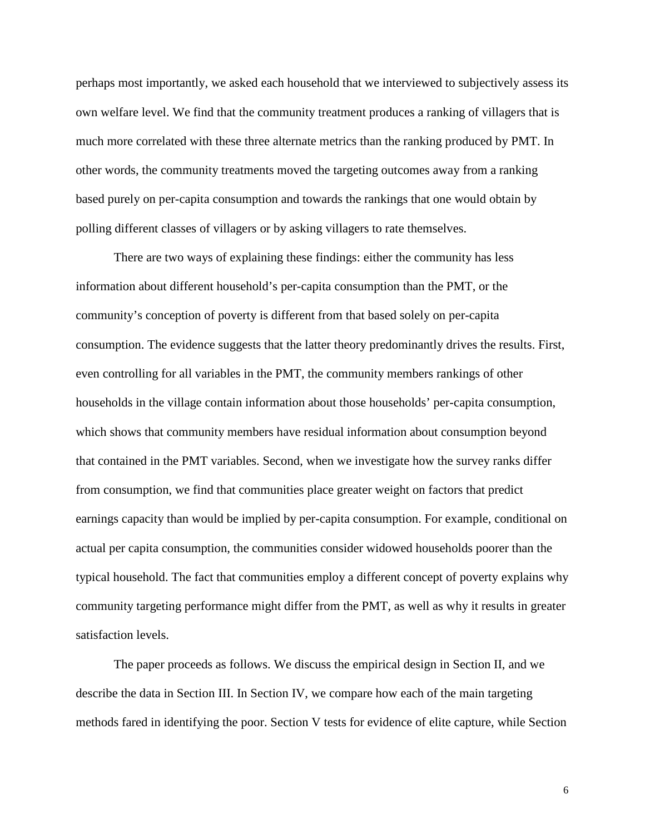perhaps most importantly, we asked each household that we interviewed to subjectively assess its own welfare level. We find that the community treatment produces a ranking of villagers that is much more correlated with these three alternate metrics than the ranking produced by PMT. In other words, the community treatments moved the targeting outcomes away from a ranking based purely on per-capita consumption and towards the rankings that one would obtain by polling different classes of villagers or by asking villagers to rate themselves.

There are two ways of explaining these findings: either the community has less information about different household's per-capita consumption than the PMT, or the community's conception of poverty is different from that based solely on per-capita consumption. The evidence suggests that the latter theory predominantly drives the results. First, even controlling for all variables in the PMT, the community members rankings of other households in the village contain information about those households' per-capita consumption, which shows that community members have residual information about consumption beyond that contained in the PMT variables. Second, when we investigate how the survey ranks differ from consumption, we find that communities place greater weight on factors that predict earnings capacity than would be implied by per-capita consumption. For example, conditional on actual per capita consumption, the communities consider widowed households poorer than the typical household. The fact that communities employ a different concept of poverty explains why community targeting performance might differ from the PMT, as well as why it results in greater satisfaction levels.

The paper proceeds as follows. We discuss the empirical design in Section II, and we describe the data in Section III. In Section IV, we compare how each of the main targeting methods fared in identifying the poor. Section V tests for evidence of elite capture, while Section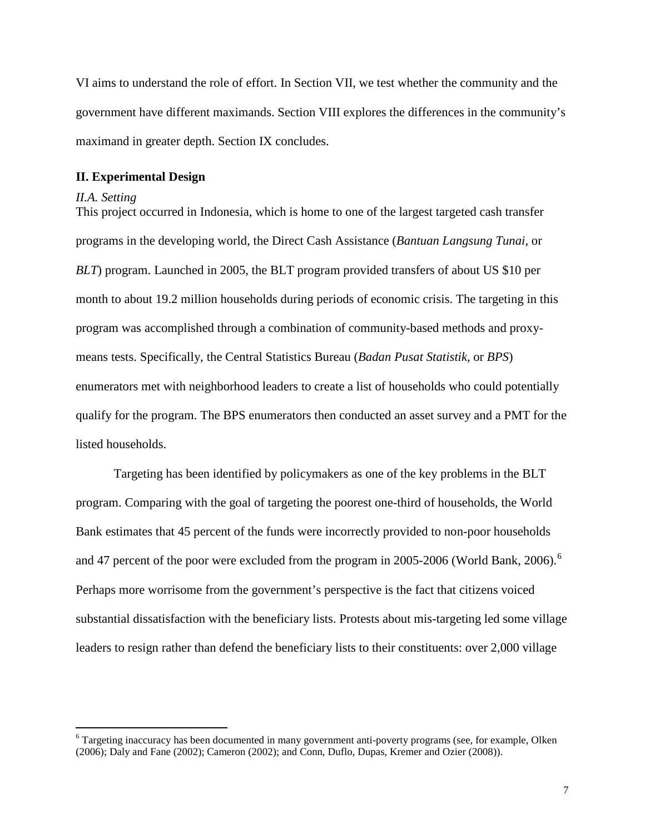VI aims to understand the role of effort. In Section VII, we test whether the community and the government have different maximands. Section VIII explores the differences in the community's maximand in greater depth. Section IX concludes.

# **II. Experimental Design**

#### *II.A. Setting*

This project occurred in Indonesia, which is home to one of the largest targeted cash transfer programs in the developing world, the Direct Cash Assistance (*Bantuan Langsung Tunai*, or *BLT*) program. Launched in 2005, the BLT program provided transfers of about US \$10 per month to about 19.2 million households during periods of economic crisis. The targeting in this program was accomplished through a combination of community-based methods and proxymeans tests. Specifically, the Central Statistics Bureau (*Badan Pusat Statistik,* or *BPS*) enumerators met with neighborhood leaders to create a list of households who could potentially qualify for the program. The BPS enumerators then conducted an asset survey and a PMT for the listed households.

Targeting has been identified by policymakers as one of the key problems in the BLT program. Comparing with the goal of targeting the poorest one-third of households, the World Bank estimates that 45 percent of the funds were incorrectly provided to non-poor households and 47 percent of the poor were excluded from the program in 2005-200[6](#page-7-0) (World Bank, 2006).<sup>6</sup> Perhaps more worrisome from the government's perspective is the fact that citizens voiced substantial dissatisfaction with the beneficiary lists. Protests about mis-targeting led some village leaders to resign rather than defend the beneficiary lists to their constituents: over 2,000 village

<span id="page-7-0"></span> <sup>6</sup> Targeting inaccuracy has been documented in many government anti-poverty programs (see, for example, Olken (2006); Daly and Fane (2002); Cameron (2002); and Conn, Duflo, Dupas, Kremer and Ozier (2008)).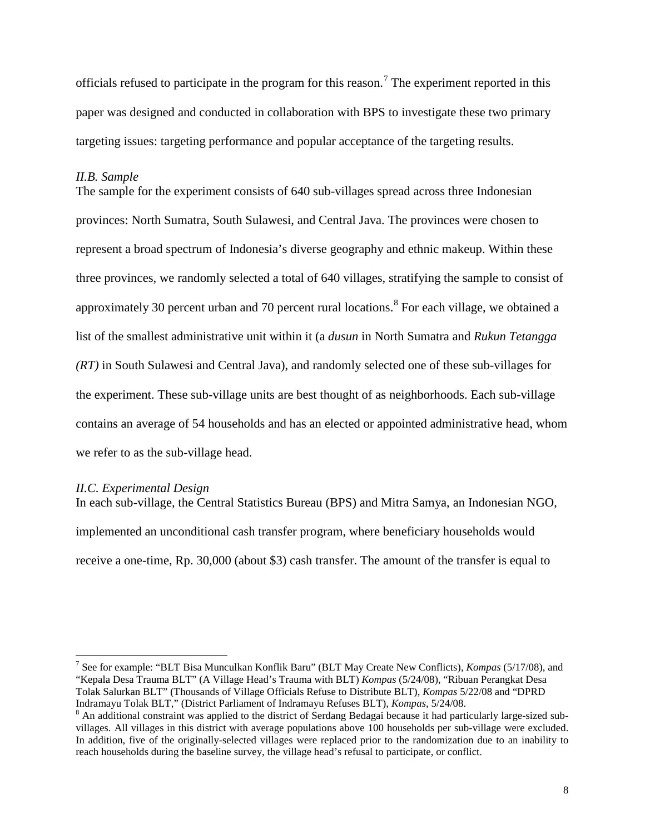officials refused to participate in the program for this reason.<sup>[7](#page-8-0)</sup> The experiment reported in this paper was designed and conducted in collaboration with BPS to investigate these two primary targeting issues: targeting performance and popular acceptance of the targeting results.

#### *II.B. Sample*

The sample for the experiment consists of 640 sub-villages spread across three Indonesian provinces: North Sumatra, South Sulawesi, and Central Java. The provinces were chosen to represent a broad spectrum of Indonesia's diverse geography and ethnic makeup. Within these three provinces, we randomly selected a total of 640 villages, stratifying the sample to consist of approximately 30 percent urban and 70 percent rural locations. <sup>[8](#page-8-1)</sup> For each village, we obtained a list of the smallest administrative unit within it (a *dusun* in North Sumatra and *Rukun Tetangga (RT)* in South Sulawesi and Central Java), and randomly selected one of these sub-villages for the experiment. These sub-village units are best thought of as neighborhoods. Each sub-village contains an average of 54 households and has an elected or appointed administrative head, whom we refer to as the sub-village head.

## *II.C. Experimental Design*

In each sub-village, the Central Statistics Bureau (BPS) and Mitra Samya, an Indonesian NGO, implemented an unconditional cash transfer program, where beneficiary households would receive a one-time, Rp. 30,000 (about \$3) cash transfer. The amount of the transfer is equal to

<span id="page-8-0"></span> <sup>7</sup> See for example: "BLT Bisa Munculkan Konflik Baru" (BLT May Create New Conflicts), *Kompas* (5/17/08), and "Kepala Desa Trauma BLT" (A Village Head's Trauma with BLT) *Kompas* (5/24/08), "Ribuan Perangkat Desa Tolak Salurkan BLT" (Thousands of Village Officials Refuse to Distribute BLT), *Kompas* 5/22/08 and "DPRD

<span id="page-8-1"></span><sup>&</sup>lt;sup>8</sup> An additional constraint was applied to the district of Serdang Bedagai because it had particularly large-sized subvillages. All villages in this district with average populations above 100 households per sub-village were excluded. In addition, five of the originally-selected villages were replaced prior to the randomization due to an inability to reach households during the baseline survey, the village head's refusal to participate, or conflict.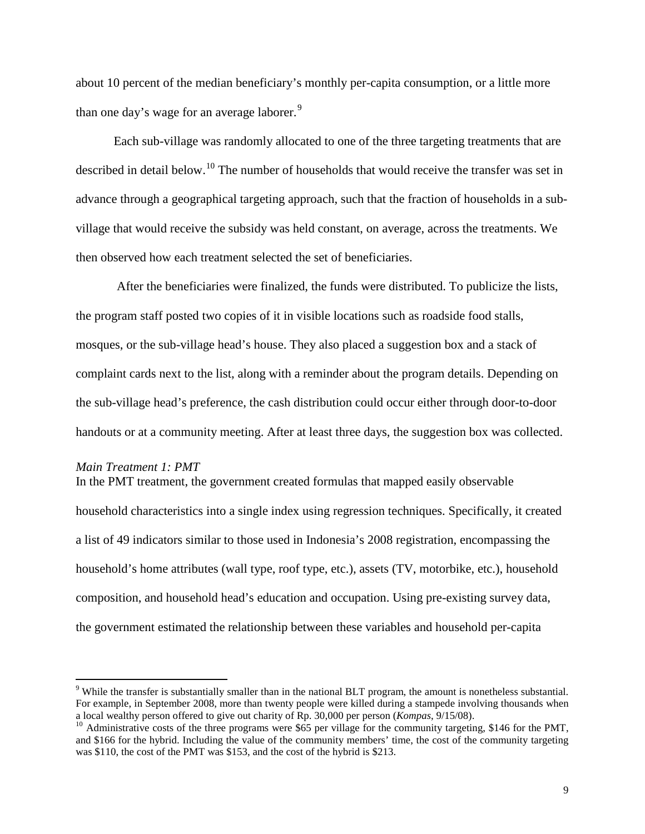about 10 percent of the median beneficiary's monthly per-capita consumption, or a little more than one day's wage for an average laborer.<sup>[9](#page-9-0)</sup>

Each sub-village was randomly allocated to one of the three targeting treatments that are described in detail below.<sup>[10](#page-9-1)</sup> The number of households that would receive the transfer was set in advance through a geographical targeting approach, such that the fraction of households in a subvillage that would receive the subsidy was held constant, on average, across the treatments. We then observed how each treatment selected the set of beneficiaries.

After the beneficiaries were finalized, the funds were distributed. To publicize the lists, the program staff posted two copies of it in visible locations such as roadside food stalls, mosques, or the sub-village head's house. They also placed a suggestion box and a stack of complaint cards next to the list, along with a reminder about the program details. Depending on the sub-village head's preference, the cash distribution could occur either through door-to-door handouts or at a community meeting. After at least three days, the suggestion box was collected.

#### *Main Treatment 1: PMT*

In the PMT treatment, the government created formulas that mapped easily observable household characteristics into a single index using regression techniques. Specifically, it created a list of 49 indicators similar to those used in Indonesia's 2008 registration, encompassing the household's home attributes (wall type, roof type, etc.), assets (TV, motorbike, etc.), household composition, and household head's education and occupation. Using pre-existing survey data, the government estimated the relationship between these variables and household per-capita

<span id="page-9-0"></span> <sup>9</sup> While the transfer is substantially smaller than in the national BLT program, the amount is nonetheless substantial. For example, in September 2008, more than twenty people were killed during a stampede involving thousands when a local wealthy person offered to give out charity of Rp. 30,000 per person (*Kompas*, 9/15/08).

<span id="page-9-1"></span><sup>&</sup>lt;sup>10</sup> Administrative costs of the three programs were \$65 per village for the community targeting, \$146 for the PMT, and \$166 for the hybrid. Including the value of the community members' time, the cost of the community targeting was \$110, the cost of the PMT was \$153, and the cost of the hybrid is \$213.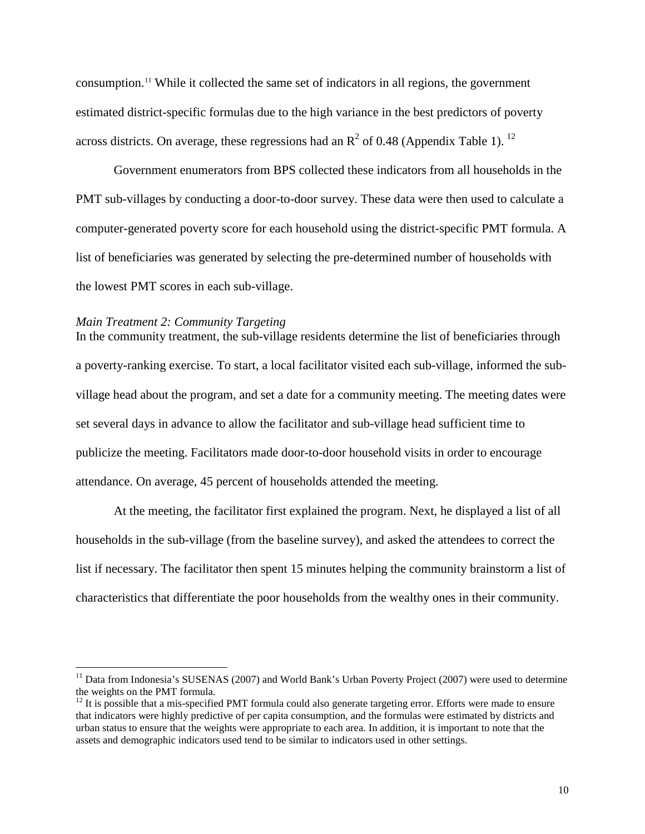consumption.[11](#page-10-0) While it collected the same set of indicators in all regions, the government estimated district-specific formulas due to the high variance in the best predictors of poverty across districts. On average, these regressions had an  $\mathbb{R}^2$  of 0.48 (Appendix Table 1). <sup>[12](#page-10-1)</sup>

Government enumerators from BPS collected these indicators from all households in the PMT sub-villages by conducting a door-to-door survey. These data were then used to calculate a computer-generated poverty score for each household using the district-specific PMT formula. A list of beneficiaries was generated by selecting the pre-determined number of households with the lowest PMT scores in each sub-village.

#### *Main Treatment 2: Community Targeting*

In the community treatment, the sub-village residents determine the list of beneficiaries through a poverty-ranking exercise. To start, a local facilitator visited each sub-village, informed the subvillage head about the program, and set a date for a community meeting. The meeting dates were set several days in advance to allow the facilitator and sub-village head sufficient time to publicize the meeting. Facilitators made door-to-door household visits in order to encourage attendance. On average, 45 percent of households attended the meeting.

At the meeting, the facilitator first explained the program. Next, he displayed a list of all households in the sub-village (from the baseline survey), and asked the attendees to correct the list if necessary. The facilitator then spent 15 minutes helping the community brainstorm a list of characteristics that differentiate the poor households from the wealthy ones in their community.

<span id="page-10-0"></span><sup>&</sup>lt;sup>11</sup> Data from Indonesia's SUSENAS (2007) and World Bank's Urban Poverty Project (2007) were used to determine the weights on the PMT formula.

<span id="page-10-1"></span> $12$  It is possible that a mis-specified PMT formula could also generate targeting error. Efforts were made to ensure that indicators were highly predictive of per capita consumption, and the formulas were estimated by districts and urban status to ensure that the weights were appropriate to each area. In addition, it is important to note that the assets and demographic indicators used tend to be similar to indicators used in other settings.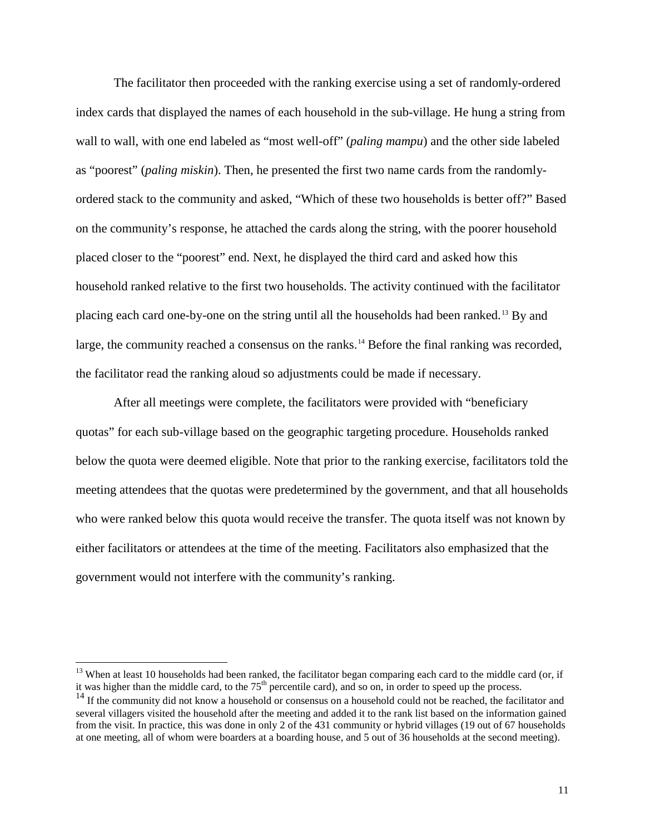The facilitator then proceeded with the ranking exercise using a set of randomly-ordered index cards that displayed the names of each household in the sub-village. He hung a string from wall to wall, with one end labeled as "most well-off" (*paling mampu*) and the other side labeled as "poorest" (*paling miskin*). Then, he presented the first two name cards from the randomlyordered stack to the community and asked, "Which of these two households is better off?" Based on the community's response, he attached the cards along the string, with the poorer household placed closer to the "poorest" end. Next, he displayed the third card and asked how this household ranked relative to the first two households. The activity continued with the facilitator placing each card one-by-one on the string until all the households had been ranked.<sup>[13](#page-11-0)</sup> By and large, the community reached a consensus on the ranks.<sup>[14](#page-11-1)</sup> Before the final ranking was recorded, the facilitator read the ranking aloud so adjustments could be made if necessary.

After all meetings were complete, the facilitators were provided with "beneficiary quotas" for each sub-village based on the geographic targeting procedure. Households ranked below the quota were deemed eligible. Note that prior to the ranking exercise, facilitators told the meeting attendees that the quotas were predetermined by the government, and that all households who were ranked below this quota would receive the transfer. The quota itself was not known by either facilitators or attendees at the time of the meeting. Facilitators also emphasized that the government would not interfere with the community's ranking.

<span id="page-11-0"></span><sup>&</sup>lt;sup>13</sup> When at least 10 households had been ranked, the facilitator began comparing each card to the middle card (or, if it was higher than the middle card, to the  $75<sup>th</sup>$  percentile card), and so on, in order to speed up the process.

<span id="page-11-1"></span> $14$  If the community did not know a household or consensus on a household could not be reached, the facilitator and several villagers visited the household after the meeting and added it to the rank list based on the information gained from the visit. In practice, this was done in only 2 of the 431 community or hybrid villages (19 out of 67 households at one meeting, all of whom were boarders at a boarding house, and 5 out of 36 households at the second meeting).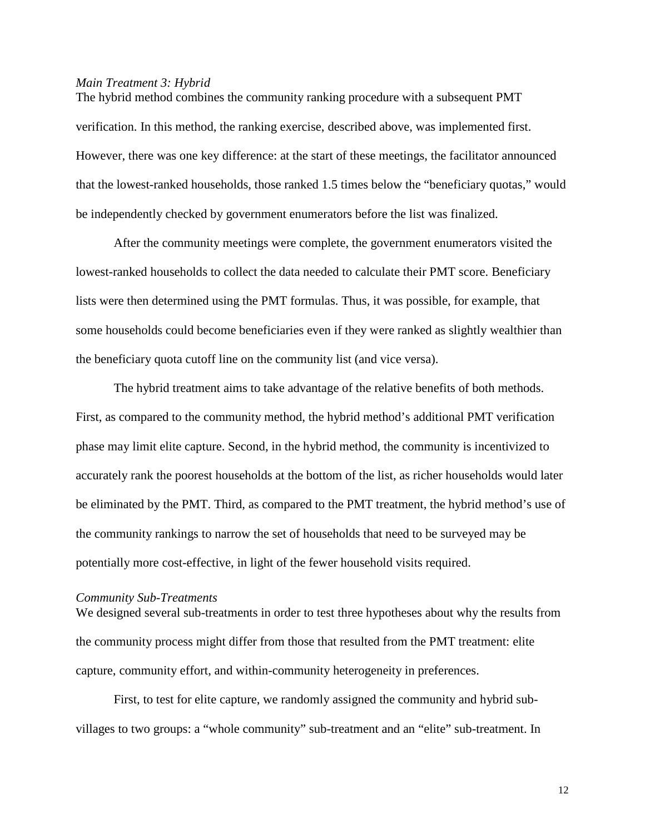# *Main Treatment 3: Hybrid*

The hybrid method combines the community ranking procedure with a subsequent PMT verification. In this method, the ranking exercise, described above, was implemented first. However, there was one key difference: at the start of these meetings, the facilitator announced that the lowest-ranked households, those ranked 1.5 times below the "beneficiary quotas," would be independently checked by government enumerators before the list was finalized.

After the community meetings were complete, the government enumerators visited the lowest-ranked households to collect the data needed to calculate their PMT score. Beneficiary lists were then determined using the PMT formulas. Thus, it was possible, for example, that some households could become beneficiaries even if they were ranked as slightly wealthier than the beneficiary quota cutoff line on the community list (and vice versa).

The hybrid treatment aims to take advantage of the relative benefits of both methods. First, as compared to the community method, the hybrid method's additional PMT verification phase may limit elite capture. Second, in the hybrid method, the community is incentivized to accurately rank the poorest households at the bottom of the list, as richer households would later be eliminated by the PMT. Third, as compared to the PMT treatment, the hybrid method's use of the community rankings to narrow the set of households that need to be surveyed may be potentially more cost-effective, in light of the fewer household visits required.

#### *Community Sub-Treatments*

We designed several sub-treatments in order to test three hypotheses about why the results from the community process might differ from those that resulted from the PMT treatment: elite capture, community effort, and within-community heterogeneity in preferences.

First, to test for elite capture, we randomly assigned the community and hybrid subvillages to two groups: a "whole community" sub-treatment and an "elite" sub-treatment. In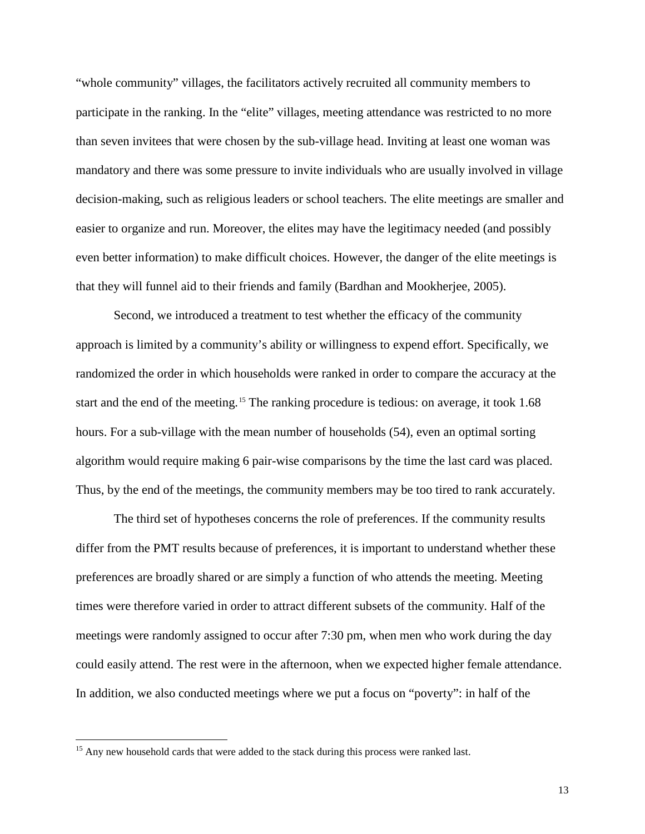"whole community" villages, the facilitators actively recruited all community members to participate in the ranking. In the "elite" villages, meeting attendance was restricted to no more than seven invitees that were chosen by the sub-village head. Inviting at least one woman was mandatory and there was some pressure to invite individuals who are usually involved in village decision-making, such as religious leaders or school teachers. The elite meetings are smaller and easier to organize and run. Moreover, the elites may have the legitimacy needed (and possibly even better information) to make difficult choices. However, the danger of the elite meetings is that they will funnel aid to their friends and family (Bardhan and Mookherjee, 2005).

Second, we introduced a treatment to test whether the efficacy of the community approach is limited by a community's ability or willingness to expend effort. Specifically, we randomized the order in which households were ranked in order to compare the accuracy at the start and the end of the meeting.<sup>[15](#page-13-0)</sup> The ranking procedure is tedious: on average, it took 1.68 hours. For a sub-village with the mean number of households (54), even an optimal sorting algorithm would require making 6 pair-wise comparisons by the time the last card was placed. Thus, by the end of the meetings, the community members may be too tired to rank accurately.

The third set of hypotheses concerns the role of preferences. If the community results differ from the PMT results because of preferences, it is important to understand whether these preferences are broadly shared or are simply a function of who attends the meeting. Meeting times were therefore varied in order to attract different subsets of the community. Half of the meetings were randomly assigned to occur after 7:30 pm, when men who work during the day could easily attend. The rest were in the afternoon, when we expected higher female attendance. In addition, we also conducted meetings where we put a focus on "poverty": in half of the

<span id="page-13-0"></span><sup>&</sup>lt;sup>15</sup> Any new household cards that were added to the stack during this process were ranked last.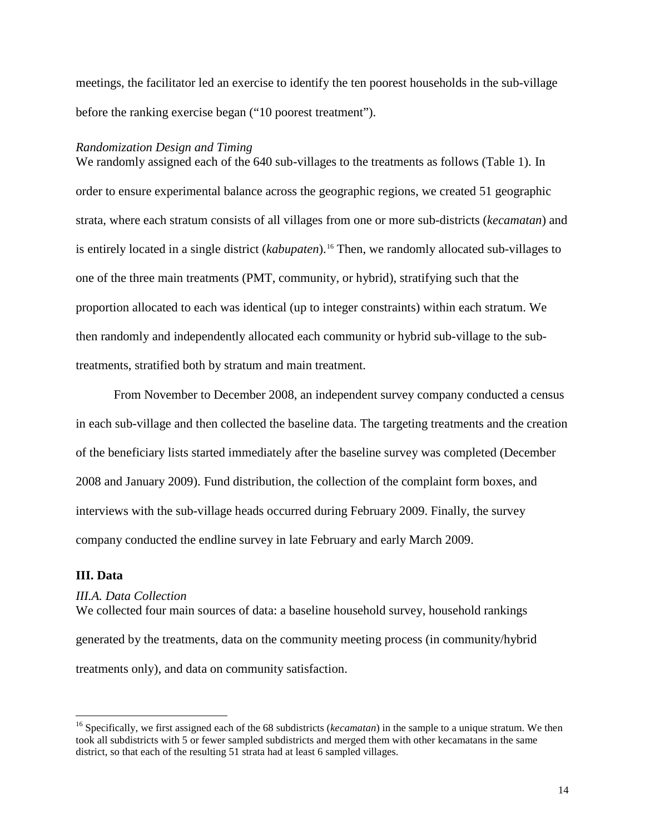meetings, the facilitator led an exercise to identify the ten poorest households in the sub-village before the ranking exercise began ("10 poorest treatment").

#### *Randomization Design and Timing*

We randomly assigned each of the 640 sub-villages to the treatments as follows (Table 1). In order to ensure experimental balance across the geographic regions, we created 51 geographic strata, where each stratum consists of all villages from one or more sub-districts (*kecamatan*) and is entirely located in a single district (*kabupaten*).<sup>[16](#page-14-0)</sup> Then, we randomly allocated sub-villages to one of the three main treatments (PMT, community, or hybrid), stratifying such that the proportion allocated to each was identical (up to integer constraints) within each stratum. We then randomly and independently allocated each community or hybrid sub-village to the subtreatments, stratified both by stratum and main treatment.

From November to December 2008, an independent survey company conducted a census in each sub-village and then collected the baseline data. The targeting treatments and the creation of the beneficiary lists started immediately after the baseline survey was completed (December 2008 and January 2009). Fund distribution, the collection of the complaint form boxes, and interviews with the sub-village heads occurred during February 2009. Finally, the survey company conducted the endline survey in late February and early March 2009.

# **III. Data**

# *III.A. Data Collection*

We collected four main sources of data: a baseline household survey, household rankings generated by the treatments, data on the community meeting process (in community/hybrid treatments only), and data on community satisfaction.

<span id="page-14-0"></span> <sup>16</sup> Specifically, we first assigned each of the 68 subdistricts (*kecamatan*) in the sample to a unique stratum. We then took all subdistricts with 5 or fewer sampled subdistricts and merged them with other kecamatans in the same district, so that each of the resulting 51 strata had at least 6 sampled villages.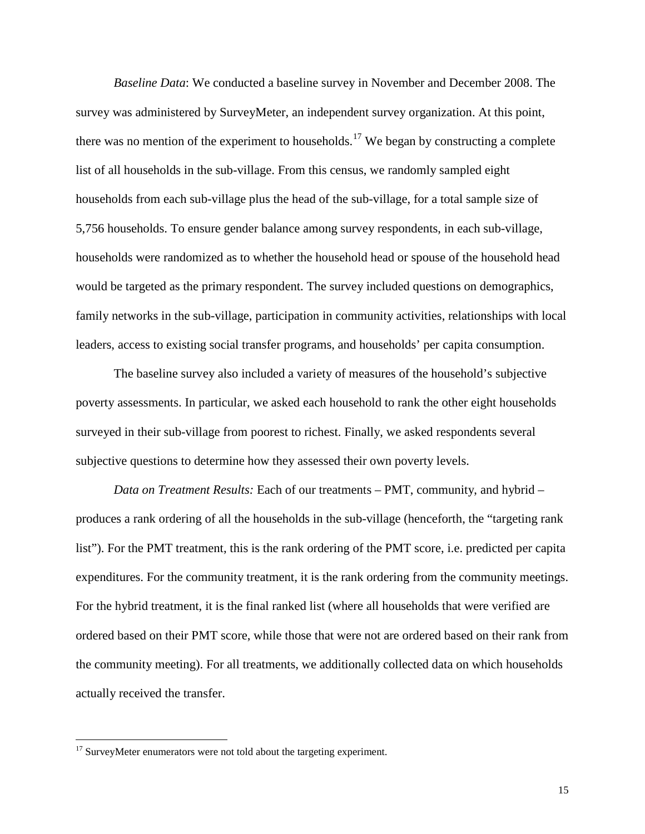*Baseline Data*: We conducted a baseline survey in November and December 2008. The survey was administered by SurveyMeter, an independent survey organization. At this point, there was no mention of the experiment to households.<sup>[17](#page-15-0)</sup> We began by constructing a complete list of all households in the sub-village. From this census, we randomly sampled eight households from each sub-village plus the head of the sub-village, for a total sample size of 5,756 households. To ensure gender balance among survey respondents, in each sub-village, households were randomized as to whether the household head or spouse of the household head would be targeted as the primary respondent. The survey included questions on demographics, family networks in the sub-village, participation in community activities, relationships with local leaders, access to existing social transfer programs, and households' per capita consumption.

The baseline survey also included a variety of measures of the household's subjective poverty assessments. In particular, we asked each household to rank the other eight households surveyed in their sub-village from poorest to richest. Finally, we asked respondents several subjective questions to determine how they assessed their own poverty levels.

*Data on Treatment Results:* Each of our treatments – PMT, community, and hybrid – produces a rank ordering of all the households in the sub-village (henceforth, the "targeting rank list"). For the PMT treatment, this is the rank ordering of the PMT score, i.e. predicted per capita expenditures. For the community treatment, it is the rank ordering from the community meetings. For the hybrid treatment, it is the final ranked list (where all households that were verified are ordered based on their PMT score, while those that were not are ordered based on their rank from the community meeting). For all treatments, we additionally collected data on which households actually received the transfer.

<span id="page-15-0"></span><sup>&</sup>lt;sup>17</sup> SurveyMeter enumerators were not told about the targeting experiment.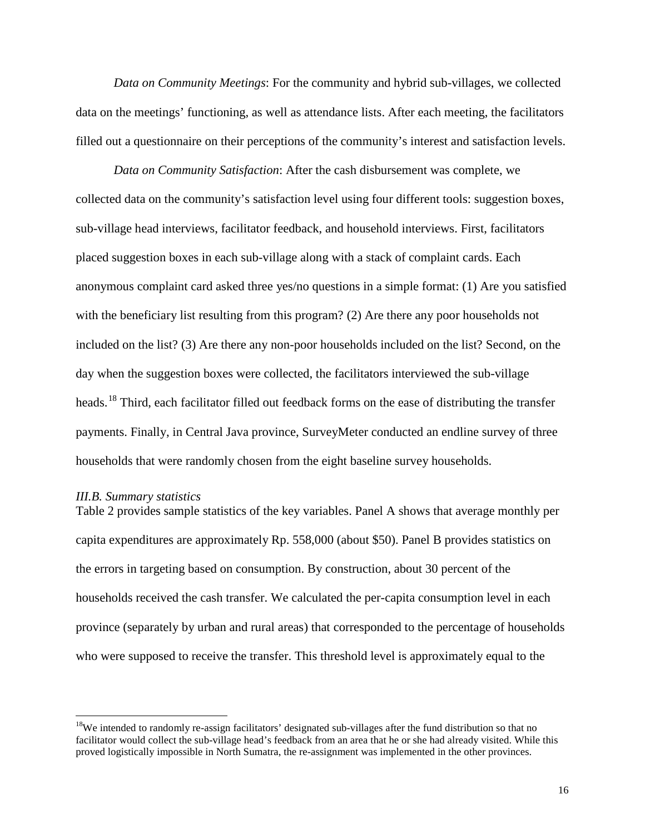*Data on Community Meetings*: For the community and hybrid sub-villages, we collected data on the meetings' functioning, as well as attendance lists. After each meeting, the facilitators filled out a questionnaire on their perceptions of the community's interest and satisfaction levels.

*Data on Community Satisfaction*: After the cash disbursement was complete, we collected data on the community's satisfaction level using four different tools: suggestion boxes, sub-village head interviews, facilitator feedback, and household interviews. First, facilitators placed suggestion boxes in each sub-village along with a stack of complaint cards. Each anonymous complaint card asked three yes/no questions in a simple format: (1) Are you satisfied with the beneficiary list resulting from this program? (2) Are there any poor households not included on the list? (3) Are there any non-poor households included on the list? Second, on the day when the suggestion boxes were collected, the facilitators interviewed the sub-village heads.<sup>[18](#page-16-0)</sup> Third, each facilitator filled out feedback forms on the ease of distributing the transfer payments. Finally, in Central Java province, SurveyMeter conducted an endline survey of three households that were randomly chosen from the eight baseline survey households.

#### *III.B. Summary statistics*

Table 2 provides sample statistics of the key variables. Panel A shows that average monthly per capita expenditures are approximately Rp. 558,000 (about \$50). Panel B provides statistics on the errors in targeting based on consumption. By construction, about 30 percent of the households received the cash transfer. We calculated the per-capita consumption level in each province (separately by urban and rural areas) that corresponded to the percentage of households who were supposed to receive the transfer. This threshold level is approximately equal to the

<span id="page-16-0"></span><sup>&</sup>lt;sup>18</sup>We intended to randomly re-assign facilitators' designated sub-villages after the fund distribution so that no facilitator would collect the sub-village head's feedback from an area that he or she had already visited. While this proved logistically impossible in North Sumatra, the re-assignment was implemented in the other provinces.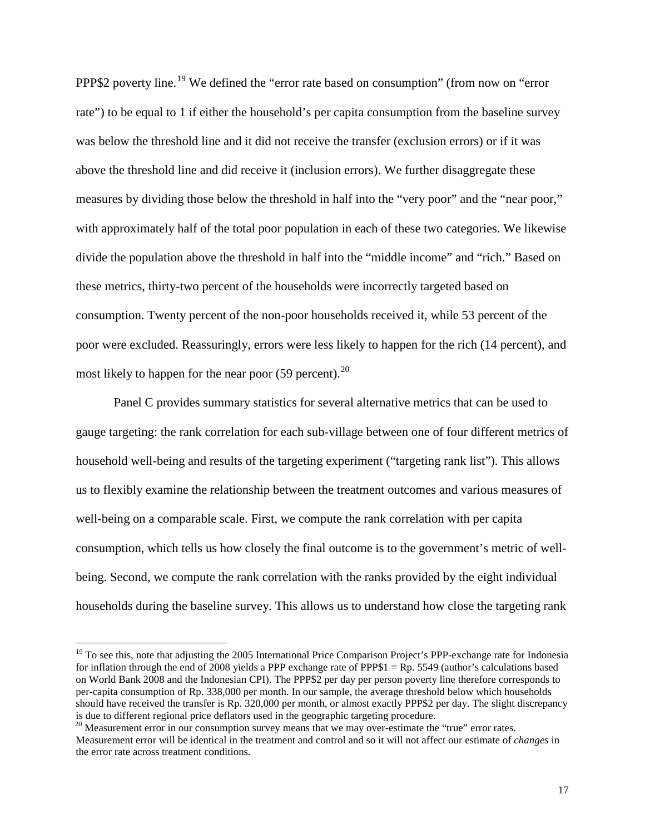PPP\$2 poverty line.[19](#page-17-0) We defined the "error rate based on consumption" (from now on "error rate") to be equal to 1 if either the household's per capita consumption from the baseline survey was below the threshold line and it did not receive the transfer (exclusion errors) or if it was above the threshold line and did receive it (inclusion errors). We further disaggregate these measures by dividing those below the threshold in half into the "very poor" and the "near poor," with approximately half of the total poor population in each of these two categories. We likewise divide the population above the threshold in half into the "middle income" and "rich." Based on these metrics, thirty-two percent of the households were incorrectly targeted based on consumption. Twenty percent of the non-poor households received it, while 53 percent of the poor were excluded. Reassuringly, errors were less likely to happen for the rich (14 percent), and most likely to happen for the near poor  $(59 \text{ percent})$ .<sup>[20](#page-17-1)</sup>

Panel C provides summary statistics for several alternative metrics that can be used to gauge targeting: the rank correlation for each sub-village between one of four different metrics of household well-being and results of the targeting experiment ("targeting rank list"). This allows us to flexibly examine the relationship between the treatment outcomes and various measures of well-being on a comparable scale. First, we compute the rank correlation with per capita consumption, which tells us how closely the final outcome is to the government's metric of wellbeing. Second, we compute the rank correlation with the ranks provided by the eight individual households during the baseline survey. This allows us to understand how close the targeting rank

<span id="page-17-0"></span> $19$  To see this, note that adjusting the 2005 International Price Comparison Project's PPP-exchange rate for Indonesia for inflation through the end of 2008 yields a PPP exchange rate of PPP\$1 =  $\rm Rp$ . 5549 (author's calculations based on World Bank 2008 and the Indonesian CPI). The PPP\$2 per day per person poverty line therefore corresponds to per-capita consumption of Rp. 338,000 per month. In our sample, the average threshold below which households should have received the transfer is Rp. 320,000 per month, or almost exactly PPP\$2 per day. The slight discrepancy is due to different regional price deflators used in the geographic targeting procedure.

<span id="page-17-1"></span> $20$  Measurement error in our consumption survey means that we may over-estimate the "true" error rates. Measurement error will be identical in the treatment and control and so it will not affect our estimate of *changes* in the error rate across treatment conditions.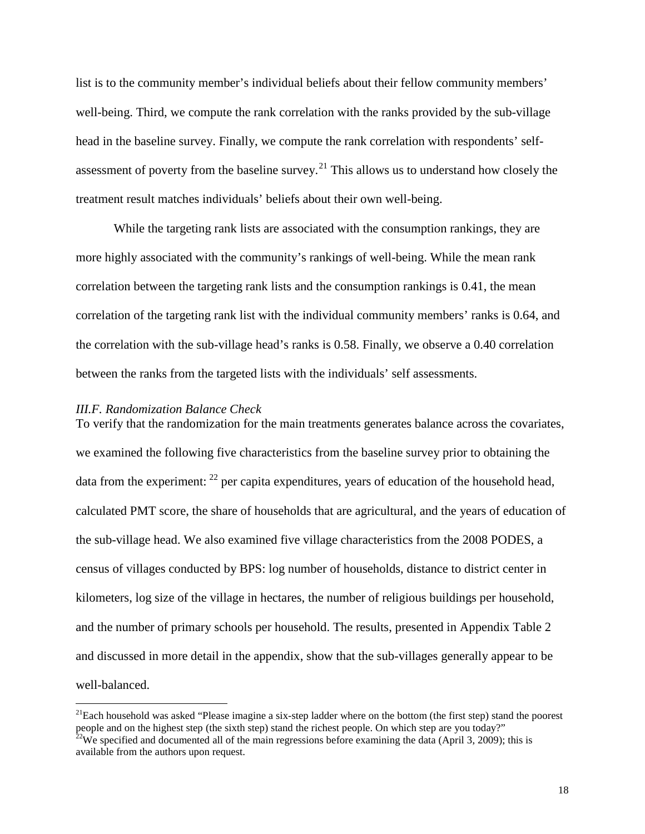list is to the community member's individual beliefs about their fellow community members' well-being. Third, we compute the rank correlation with the ranks provided by the sub-village head in the baseline survey. Finally, we compute the rank correlation with respondents' self-assessment of poverty from the baseline survey.<sup>[21](#page-18-0)</sup> This allows us to understand how closely the treatment result matches individuals' beliefs about their own well-being.

While the targeting rank lists are associated with the consumption rankings, they are more highly associated with the community's rankings of well-being. While the mean rank correlation between the targeting rank lists and the consumption rankings is 0.41, the mean correlation of the targeting rank list with the individual community members' ranks is 0.64, and the correlation with the sub-village head's ranks is 0.58. Finally, we observe a 0.40 correlation between the ranks from the targeted lists with the individuals' self assessments.

## *III.F. Randomization Balance Check*

To verify that the randomization for the main treatments generates balance across the covariates, we examined the following five characteristics from the baseline survey prior to obtaining the data from the experiment:  $^{22}$  $^{22}$  $^{22}$  per capita expenditures, years of education of the household head, calculated PMT score, the share of households that are agricultural, and the years of education of the sub-village head. We also examined five village characteristics from the 2008 PODES, a census of villages conducted by BPS: log number of households, distance to district center in kilometers, log size of the village in hectares, the number of religious buildings per household, and the number of primary schools per household. The results, presented in Appendix Table 2 and discussed in more detail in the appendix, show that the sub-villages generally appear to be well-balanced.

<span id="page-18-0"></span><sup>&</sup>lt;sup>21</sup>Each household was asked "Please imagine a six-step ladder where on the bottom (the first step) stand the poorest people and on the highest step (the sixth step) stand the richest people. On which step are you today?"

<span id="page-18-1"></span><sup>&</sup>lt;sup>22</sup>We specified and documented all of the main regressions before examining the data (April 3, 2009); this is available from the authors upon request.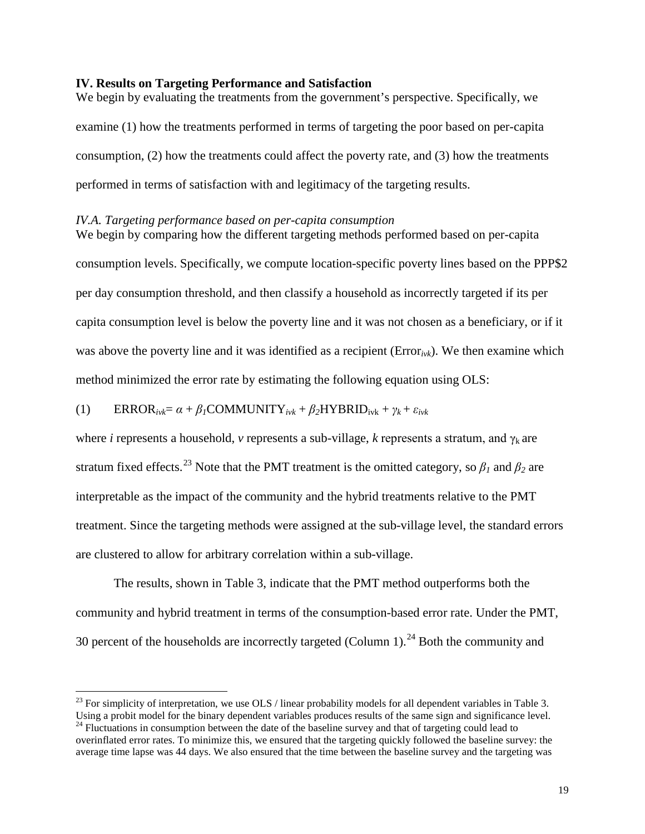# **IV. Results on Targeting Performance and Satisfaction**

We begin by evaluating the treatments from the government's perspective. Specifically, we examine (1) how the treatments performed in terms of targeting the poor based on per-capita consumption, (2) how the treatments could affect the poverty rate, and (3) how the treatments performed in terms of satisfaction with and legitimacy of the targeting results.

# *IV.A. Targeting performance based on per-capita consumption*

We begin by comparing how the different targeting methods performed based on per-capita consumption levels. Specifically, we compute location-specific poverty lines based on the PPP\$2 per day consumption threshold, and then classify a household as incorrectly targeted if its per capita consumption level is below the poverty line and it was not chosen as a beneficiary, or if it was above the poverty line and it was identified as a recipient (Error*ivk*). We then examine which method minimized the error rate by estimating the following equation using OLS:

(1) 
$$
ERROR_{ivk} = \alpha + \beta_1 \text{COMMUNITY}_{ivk} + \beta_2 \text{HYBRID}_{ivk} + \gamma_k + \varepsilon_{ivk}
$$

where *i* represents a household, *v* represents a sub-village, *k* represents a stratum, and  $\gamma_k$  are stratum fixed effects.<sup>[23](#page-19-0)</sup> Note that the PMT treatment is the omitted category, so  $\beta_1$  and  $\beta_2$  are interpretable as the impact of the community and the hybrid treatments relative to the PMT treatment. Since the targeting methods were assigned at the sub-village level, the standard errors are clustered to allow for arbitrary correlation within a sub-village.

The results, shown in Table 3, indicate that the PMT method outperforms both the community and hybrid treatment in terms of the consumption-based error rate. Under the PMT, 30 percent of the households are incorrectly targeted (Column 1).<sup>[24](#page-19-1)</sup> Both the community and

<span id="page-19-0"></span> $^{23}$  For simplicity of interpretation, we use OLS / linear probability models for all dependent variables in Table 3. Using a probit model for the binary dependent variables produces results of the same sign and significance level. <sup>24</sup> Fluctuations in consumption between the date of the baseline survey and that of targeting could lead to

<span id="page-19-1"></span>overinflated error rates. To minimize this, we ensured that the targeting quickly followed the baseline survey: the average time lapse was 44 days. We also ensured that the time between the baseline survey and the targeting was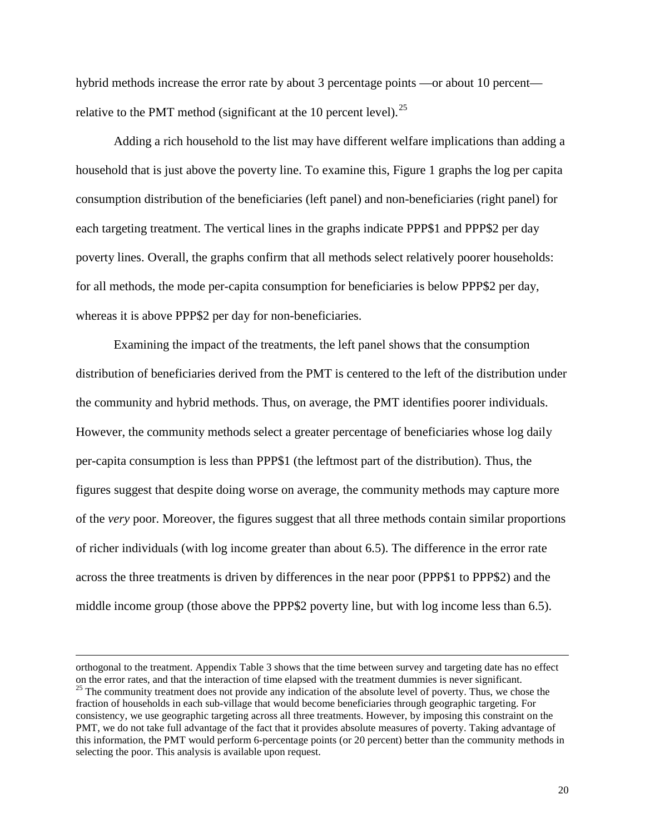hybrid methods increase the error rate by about 3 percentage points —or about 10 percent— relative to the PMT method (significant at the 10 percent level).<sup>[25](#page-20-0)</sup>

Adding a rich household to the list may have different welfare implications than adding a household that is just above the poverty line. To examine this, Figure 1 graphs the log per capita consumption distribution of the beneficiaries (left panel) and non-beneficiaries (right panel) for each targeting treatment. The vertical lines in the graphs indicate PPP\$1 and PPP\$2 per day poverty lines. Overall, the graphs confirm that all methods select relatively poorer households: for all methods, the mode per-capita consumption for beneficiaries is below PPP\$2 per day, whereas it is above PPP\$2 per day for non-beneficiaries.

Examining the impact of the treatments, the left panel shows that the consumption distribution of beneficiaries derived from the PMT is centered to the left of the distribution under the community and hybrid methods. Thus, on average, the PMT identifies poorer individuals. However, the community methods select a greater percentage of beneficiaries whose log daily per-capita consumption is less than PPP\$1 (the leftmost part of the distribution). Thus, the figures suggest that despite doing worse on average, the community methods may capture more of the *very* poor. Moreover, the figures suggest that all three methods contain similar proportions of richer individuals (with log income greater than about 6.5). The difference in the error rate across the three treatments is driven by differences in the near poor (PPP\$1 to PPP\$2) and the middle income group (those above the PPP\$2 poverty line, but with log income less than 6.5).

 $\overline{a}$ 

<span id="page-20-0"></span>orthogonal to the treatment. Appendix Table 3 shows that the time between survey and targeting date has no effect on the error rates, and that the interaction of time elapsed with the treatment dummies is never significant.<br><sup>25</sup> The community treatment does not provide any indication of the absolute level of poverty. Thus, we chose th fraction of households in each sub-village that would become beneficiaries through geographic targeting. For consistency, we use geographic targeting across all three treatments. However, by imposing this constraint on the PMT, we do not take full advantage of the fact that it provides absolute measures of poverty. Taking advantage of this information, the PMT would perform 6-percentage points (or 20 percent) better than the community methods in selecting the poor. This analysis is available upon request.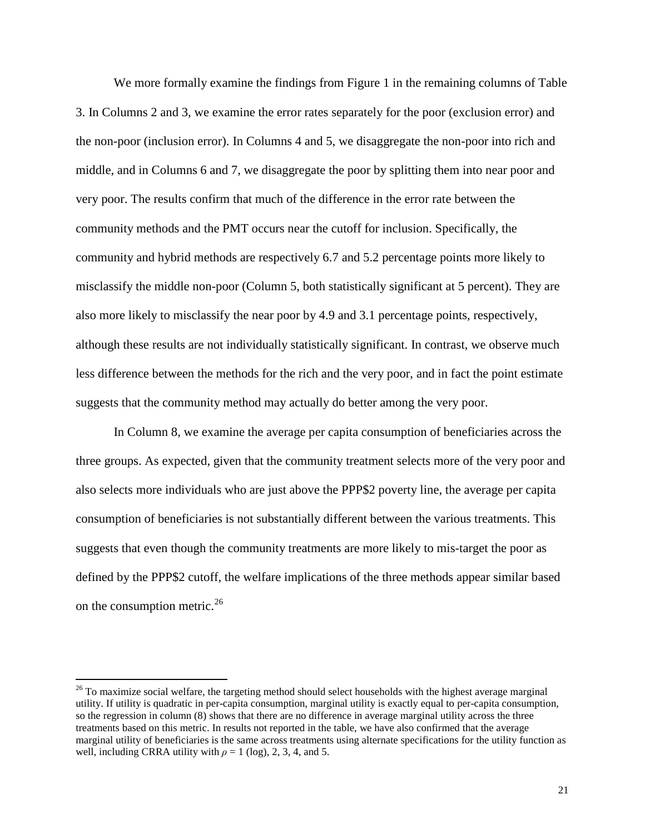We more formally examine the findings from Figure 1 in the remaining columns of Table 3. In Columns 2 and 3, we examine the error rates separately for the poor (exclusion error) and the non-poor (inclusion error). In Columns 4 and 5, we disaggregate the non-poor into rich and middle, and in Columns 6 and 7, we disaggregate the poor by splitting them into near poor and very poor. The results confirm that much of the difference in the error rate between the community methods and the PMT occurs near the cutoff for inclusion. Specifically, the community and hybrid methods are respectively 6.7 and 5.2 percentage points more likely to misclassify the middle non-poor (Column 5, both statistically significant at 5 percent). They are also more likely to misclassify the near poor by 4.9 and 3.1 percentage points, respectively, although these results are not individually statistically significant. In contrast, we observe much less difference between the methods for the rich and the very poor, and in fact the point estimate suggests that the community method may actually do better among the very poor.

In Column 8, we examine the average per capita consumption of beneficiaries across the three groups. As expected, given that the community treatment selects more of the very poor and also selects more individuals who are just above the PPP\$2 poverty line, the average per capita consumption of beneficiaries is not substantially different between the various treatments. This suggests that even though the community treatments are more likely to mis-target the poor as defined by the PPP\$2 cutoff, the welfare implications of the three methods appear similar based on the consumption metric. $^{26}$  $^{26}$  $^{26}$ 

<span id="page-21-0"></span> $26$  To maximize social welfare, the targeting method should select households with the highest average marginal utility. If utility is quadratic in per-capita consumption, marginal utility is exactly equal to per-capita consumption, so the regression in column (8) shows that there are no difference in average marginal utility across the three treatments based on this metric. In results not reported in the table, we have also confirmed that the average marginal utility of beneficiaries is the same across treatments using alternate specifications for the utility function as well, including CRRA utility with  $\rho = 1$  (log), 2, 3, 4, and 5.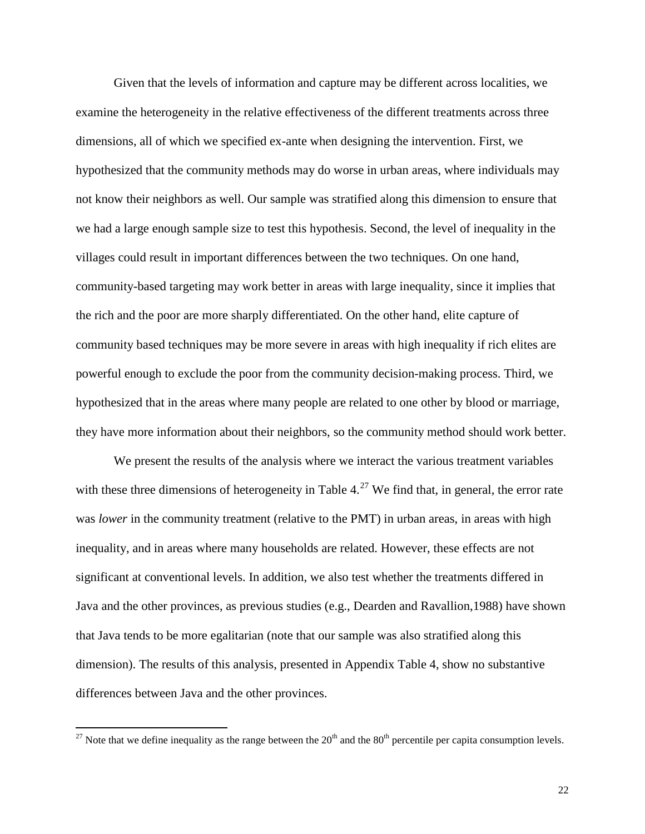Given that the levels of information and capture may be different across localities, we examine the heterogeneity in the relative effectiveness of the different treatments across three dimensions, all of which we specified ex-ante when designing the intervention. First, we hypothesized that the community methods may do worse in urban areas, where individuals may not know their neighbors as well. Our sample was stratified along this dimension to ensure that we had a large enough sample size to test this hypothesis. Second, the level of inequality in the villages could result in important differences between the two techniques. On one hand, community-based targeting may work better in areas with large inequality, since it implies that the rich and the poor are more sharply differentiated. On the other hand, elite capture of community based techniques may be more severe in areas with high inequality if rich elites are powerful enough to exclude the poor from the community decision-making process. Third, we hypothesized that in the areas where many people are related to one other by blood or marriage, they have more information about their neighbors, so the community method should work better.

We present the results of the analysis where we interact the various treatment variables with these three dimensions of heterogeneity in Table  $4.^{27}$  $4.^{27}$  $4.^{27}$  We find that, in general, the error rate was *lower* in the community treatment (relative to the PMT) in urban areas, in areas with high inequality, and in areas where many households are related. However, these effects are not significant at conventional levels. In addition, we also test whether the treatments differed in Java and the other provinces, as previous studies (e.g., Dearden and Ravallion,1988) have shown that Java tends to be more egalitarian (note that our sample was also stratified along this dimension). The results of this analysis, presented in Appendix Table 4, show no substantive differences between Java and the other provinces.

<span id="page-22-0"></span><sup>&</sup>lt;sup>27</sup> Note that we define inequality as the range between the  $20<sup>th</sup>$  and the  $80<sup>th</sup>$  percentile per capita consumption levels.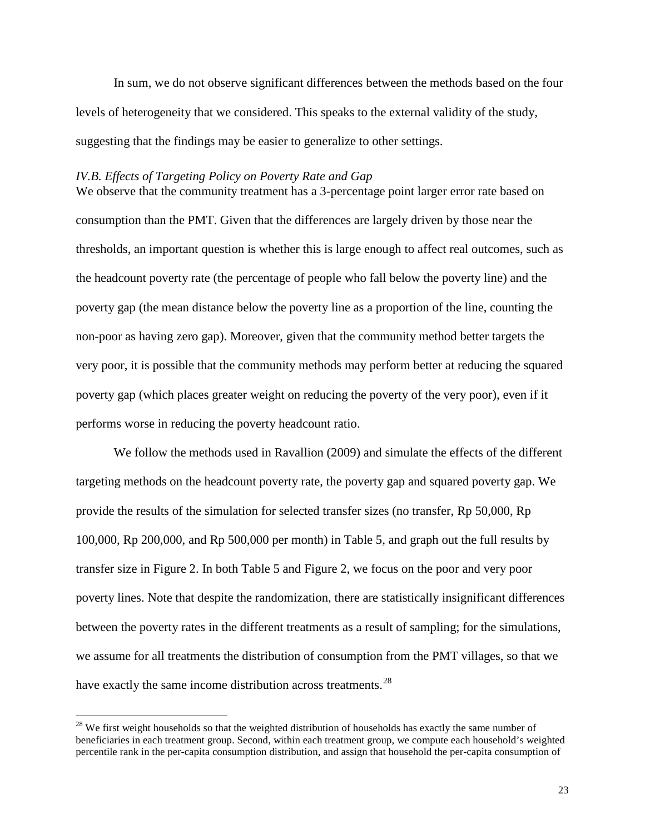In sum, we do not observe significant differences between the methods based on the four levels of heterogeneity that we considered. This speaks to the external validity of the study, suggesting that the findings may be easier to generalize to other settings.

#### *IV.B. Effects of Targeting Policy on Poverty Rate and Gap*

We observe that the community treatment has a 3-percentage point larger error rate based on consumption than the PMT. Given that the differences are largely driven by those near the thresholds, an important question is whether this is large enough to affect real outcomes, such as the headcount poverty rate (the percentage of people who fall below the poverty line) and the poverty gap (the mean distance below the poverty line as a proportion of the line, counting the non-poor as having zero gap). Moreover, given that the community method better targets the very poor, it is possible that the community methods may perform better at reducing the squared poverty gap (which places greater weight on reducing the poverty of the very poor), even if it performs worse in reducing the poverty headcount ratio.

We follow the methods used in Ravallion (2009) and simulate the effects of the different targeting methods on the headcount poverty rate, the poverty gap and squared poverty gap. We provide the results of the simulation for selected transfer sizes (no transfer, Rp 50,000, Rp 100,000, Rp 200,000, and Rp 500,000 per month) in Table 5, and graph out the full results by transfer size in Figure 2. In both Table 5 and Figure 2, we focus on the poor and very poor poverty lines. Note that despite the randomization, there are statistically insignificant differences between the poverty rates in the different treatments as a result of sampling; for the simulations, we assume for all treatments the distribution of consumption from the PMT villages, so that we have exactly the same income distribution across treatments.<sup>[28](#page-23-0)</sup>

<span id="page-23-0"></span><sup>&</sup>lt;sup>28</sup> We first weight households so that the weighted distribution of households has exactly the same number of beneficiaries in each treatment group. Second, within each treatment group, we compute each household's weighted percentile rank in the per-capita consumption distribution, and assign that household the per-capita consumption of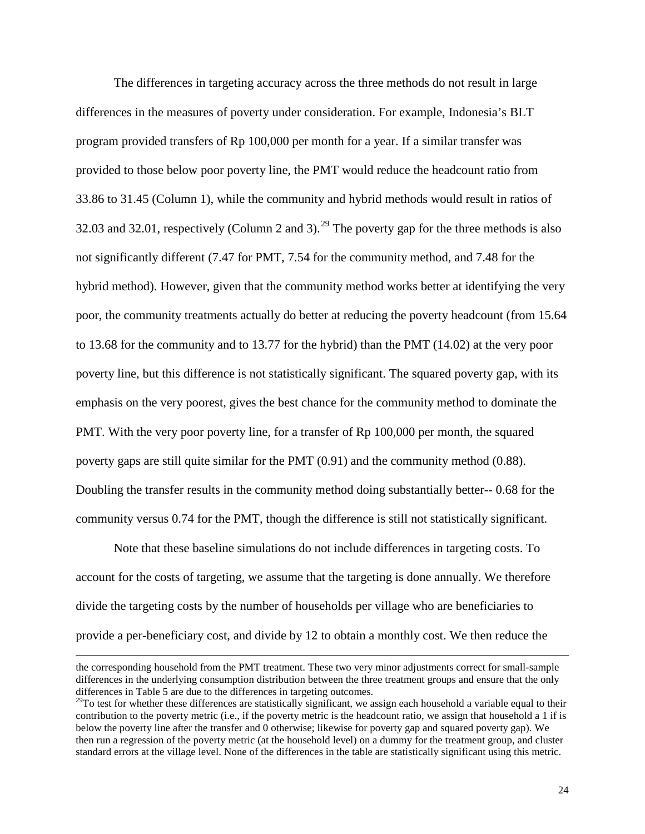The differences in targeting accuracy across the three methods do not result in large differences in the measures of poverty under consideration. For example, Indonesia's BLT program provided transfers of Rp 100,000 per month for a year. If a similar transfer was provided to those below poor poverty line, the PMT would reduce the headcount ratio from 33.86 to 31.45 (Column 1), while the community and hybrid methods would result in ratios of 32.03 and 32.01, respectively (Column 2 and 3).<sup>[29](#page-24-0)</sup> The poverty gap for the three methods is also not significantly different (7.47 for PMT, 7.54 for the community method, and 7.48 for the hybrid method). However, given that the community method works better at identifying the very poor, the community treatments actually do better at reducing the poverty headcount (from 15.64 to 13.68 for the community and to 13.77 for the hybrid) than the PMT (14.02) at the very poor poverty line, but this difference is not statistically significant. The squared poverty gap, with its emphasis on the very poorest, gives the best chance for the community method to dominate the PMT. With the very poor poverty line, for a transfer of Rp 100,000 per month, the squared poverty gaps are still quite similar for the PMT (0.91) and the community method (0.88). Doubling the transfer results in the community method doing substantially better-- 0.68 for the community versus 0.74 for the PMT, though the difference is still not statistically significant.

Note that these baseline simulations do not include differences in targeting costs. To account for the costs of targeting, we assume that the targeting is done annually. We therefore divide the targeting costs by the number of households per village who are beneficiaries to provide a per-beneficiary cost, and divide by 12 to obtain a monthly cost. We then reduce the

 $\overline{a}$ 

the corresponding household from the PMT treatment. These two very minor adjustments correct for small-sample differences in the underlying consumption distribution between the three treatment groups and ensure that the only differences in Table 5 are due to the differences in targeting outcomes.

<span id="page-24-0"></span> $29$ To test for whether these differences are statistically significant, we assign each household a variable equal to their contribution to the poverty metric (i.e., if the poverty metric is the headcount ratio, we assign that household a 1 if is below the poverty line after the transfer and 0 otherwise; likewise for poverty gap and squared poverty gap). We then run a regression of the poverty metric (at the household level) on a dummy for the treatment group, and cluster standard errors at the village level. None of the differences in the table are statistically significant using this metric.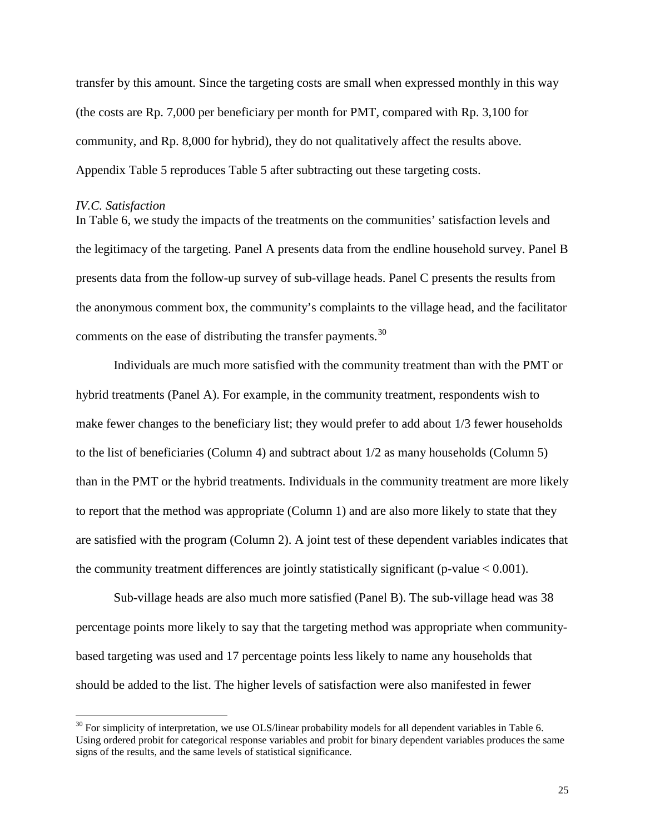transfer by this amount. Since the targeting costs are small when expressed monthly in this way (the costs are Rp. 7,000 per beneficiary per month for PMT, compared with Rp. 3,100 for community, and Rp. 8,000 for hybrid), they do not qualitatively affect the results above. Appendix Table 5 reproduces Table 5 after subtracting out these targeting costs.

#### *IV.C. Satisfaction*

In Table 6, we study the impacts of the treatments on the communities' satisfaction levels and the legitimacy of the targeting. Panel A presents data from the endline household survey. Panel B presents data from the follow-up survey of sub-village heads. Panel C presents the results from the anonymous comment box, the community's complaints to the village head, and the facilitator comments on the ease of distributing the transfer payments.<sup>[30](#page-25-0)</sup>

Individuals are much more satisfied with the community treatment than with the PMT or hybrid treatments (Panel A). For example, in the community treatment, respondents wish to make fewer changes to the beneficiary list; they would prefer to add about 1/3 fewer households to the list of beneficiaries (Column 4) and subtract about 1/2 as many households (Column 5) than in the PMT or the hybrid treatments. Individuals in the community treatment are more likely to report that the method was appropriate (Column 1) and are also more likely to state that they are satisfied with the program (Column 2). A joint test of these dependent variables indicates that the community treatment differences are jointly statistically significant (p-value  $< 0.001$ ).

Sub-village heads are also much more satisfied (Panel B). The sub-village head was 38 percentage points more likely to say that the targeting method was appropriate when communitybased targeting was used and 17 percentage points less likely to name any households that should be added to the list. The higher levels of satisfaction were also manifested in fewer

<span id="page-25-0"></span> $30$  For simplicity of interpretation, we use OLS/linear probability models for all dependent variables in Table 6. Using ordered probit for categorical response variables and probit for binary dependent variables produces the same signs of the results, and the same levels of statistical significance.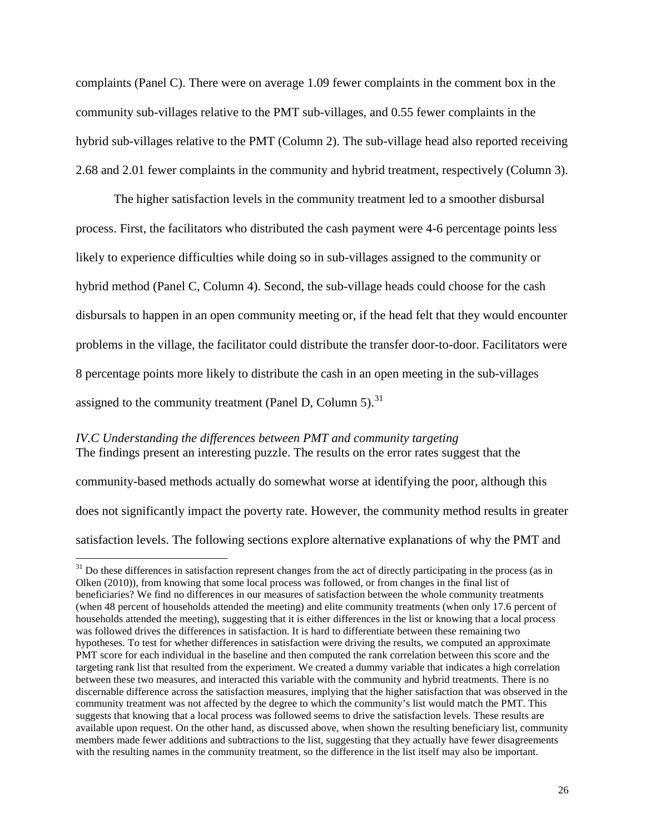complaints (Panel C). There were on average 1.09 fewer complaints in the comment box in the community sub-villages relative to the PMT sub-villages, and 0.55 fewer complaints in the hybrid sub-villages relative to the PMT (Column 2). The sub-village head also reported receiving 2.68 and 2.01 fewer complaints in the community and hybrid treatment, respectively (Column 3).

The higher satisfaction levels in the community treatment led to a smoother disbursal process. First, the facilitators who distributed the cash payment were 4-6 percentage points less likely to experience difficulties while doing so in sub-villages assigned to the community or hybrid method (Panel C, Column 4). Second, the sub-village heads could choose for the cash disbursals to happen in an open community meeting or, if the head felt that they would encounter problems in the village, the facilitator could distribute the transfer door-to-door. Facilitators were 8 percentage points more likely to distribute the cash in an open meeting in the sub-villages assigned to the community treatment (Panel D, Column 5).<sup>[31](#page-26-0)</sup>

## *IV.C Understanding the differences between PMT and community targeting* The findings present an interesting puzzle. The results on the error rates suggest that the

community-based methods actually do somewhat worse at identifying the poor, although this does not significantly impact the poverty rate. However, the community method results in greater satisfaction levels. The following sections explore alternative explanations of why the PMT and

<span id="page-26-0"></span><sup>&</sup>lt;sup>31</sup> Do these differences in satisfaction represent changes from the act of directly participating in the process (as in Olken (2010)), from knowing that some local process was followed, or from changes in the final list of beneficiaries? We find no differences in our measures of satisfaction between the whole community treatments (when 48 percent of households attended the meeting) and elite community treatments (when only 17.6 percent of households attended the meeting), suggesting that it is either differences in the list or knowing that a local process was followed drives the differences in satisfaction. It is hard to differentiate between these remaining two hypotheses. To test for whether differences in satisfaction were driving the results, we computed an approximate PMT score for each individual in the baseline and then computed the rank correlation between this score and the targeting rank list that resulted from the experiment. We created a dummy variable that indicates a high correlation between these two measures, and interacted this variable with the community and hybrid treatments. There is no discernable difference across the satisfaction measures, implying that the higher satisfaction that was observed in the community treatment was not affected by the degree to which the community's list would match the PMT. This suggests that knowing that a local process was followed seems to drive the satisfaction levels. These results are available upon request. On the other hand, as discussed above, when shown the resulting beneficiary list, community members made fewer additions and subtractions to the list, suggesting that they actually have fewer disagreements with the resulting names in the community treatment, so the difference in the list itself may also be important.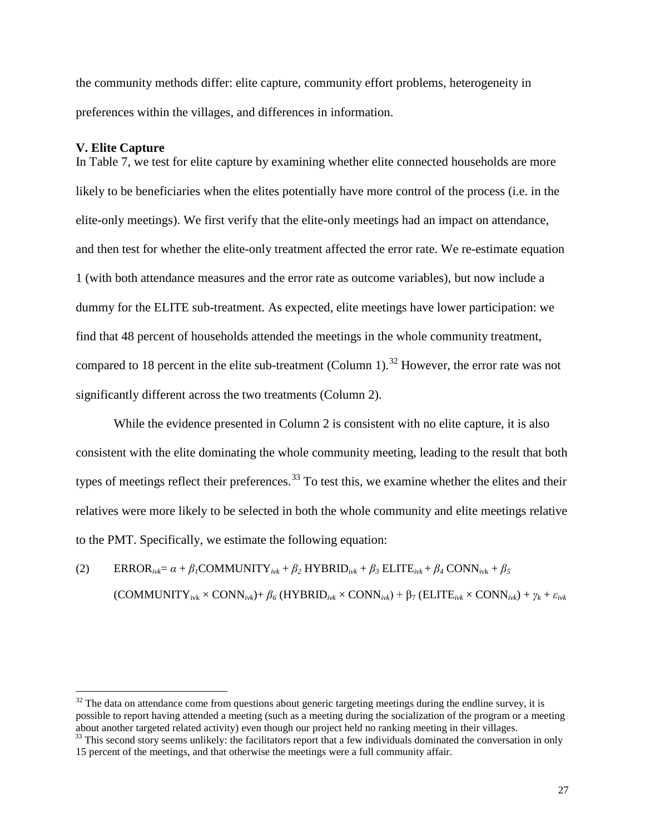the community methods differ: elite capture, community effort problems, heterogeneity in preferences within the villages, and differences in information.

#### **V. Elite Capture**

In Table 7, we test for elite capture by examining whether elite connected households are more likely to be beneficiaries when the elites potentially have more control of the process (i.e. in the elite-only meetings). We first verify that the elite-only meetings had an impact on attendance, and then test for whether the elite-only treatment affected the error rate. We re-estimate equation 1 (with both attendance measures and the error rate as outcome variables), but now include a dummy for the ELITE sub-treatment. As expected, elite meetings have lower participation: we find that 48 percent of households attended the meetings in the whole community treatment, compared to 18 percent in the elite sub-treatment (Column 1).<sup>[32](#page-27-0)</sup> However, the error rate was not significantly different across the two treatments (Column 2).

While the evidence presented in Column 2 is consistent with no elite capture, it is also consistent with the elite dominating the whole community meeting, leading to the result that both types of meetings reflect their preferences.<sup>[33](#page-27-1)</sup> To test this, we examine whether the elites and their relatives were more likely to be selected in both the whole community and elite meetings relative to the PMT. Specifically, we estimate the following equation:

(2) ERROR<sub>ivk</sub> =  $\alpha + \beta \cdot f$ COMMUNITY<sub>ivk</sub> +  $\beta$ <sub>2</sub> HYBRID<sub>ivk</sub> +  $\beta$ <sub>3</sub> ELITE<sub>ivk</sub> +  $\beta$ <sub>4</sub> CONN<sub>ivk</sub> +  $\beta$ <sub>5</sub>  $(\text{COMMUNITY}_{ivk} \times \text{CONN}_{ivk}) + \beta_6 (\text{HYBRID}_{ivk} \times \text{CONN}_{ivk}) + \beta_7 (\text{ELITE}_{ivk} \times \text{CONN}_{ivk}) + \gamma_k + \varepsilon_{ivk}$ 

<span id="page-27-0"></span> $32$  The data on attendance come from questions about generic targeting meetings during the endline survey, it is possible to report having attended a meeting (such as a meeting during the socialization of the program or a meeting about another targeted related activity) even though our project held no ranking meeting in their villages.

<span id="page-27-1"></span><sup>&</sup>lt;sup>33</sup> This second story seems unlikely: the facilitators report that a few individuals dominated the conversation in only 15 percent of the meetings, and that otherwise the meetings were a full community affair.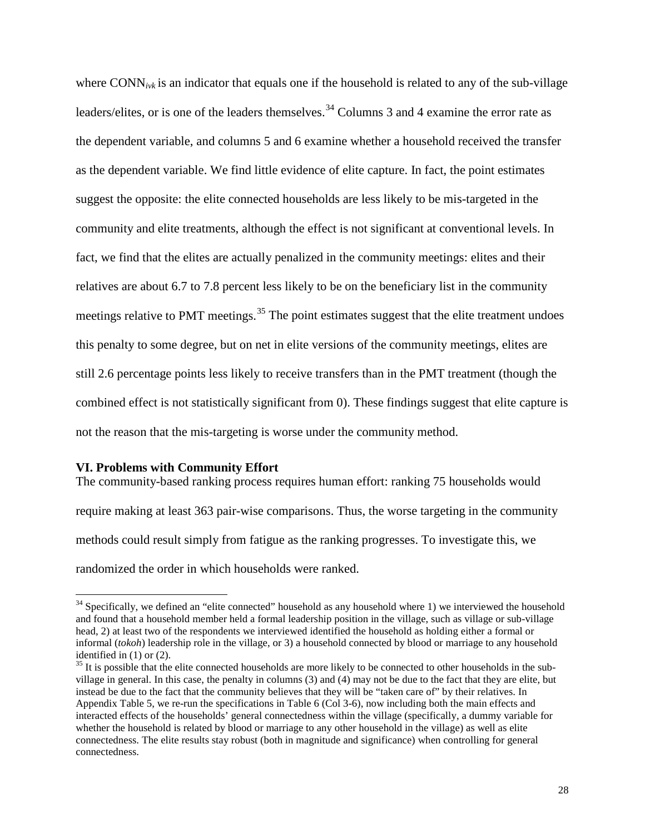where CONN<sub>ivk</sub> is an indicator that equals one if the household is related to any of the sub-village leaders/elites, or is one of the leaders themselves.<sup>[34](#page-28-0)</sup> Columns 3 and 4 examine the error rate as the dependent variable, and columns 5 and 6 examine whether a household received the transfer as the dependent variable. We find little evidence of elite capture. In fact, the point estimates suggest the opposite: the elite connected households are less likely to be mis-targeted in the community and elite treatments, although the effect is not significant at conventional levels. In fact, we find that the elites are actually penalized in the community meetings: elites and their relatives are about 6.7 to 7.8 percent less likely to be on the beneficiary list in the community meetings relative to PMT meetings.<sup>[35](#page-28-1)</sup> The point estimates suggest that the elite treatment undoes this penalty to some degree, but on net in elite versions of the community meetings, elites are still 2.6 percentage points less likely to receive transfers than in the PMT treatment (though the combined effect is not statistically significant from 0). These findings suggest that elite capture is not the reason that the mis-targeting is worse under the community method.

#### **VI. Problems with Community Effort**

The community-based ranking process requires human effort: ranking 75 households would require making at least 363 pair-wise comparisons. Thus, the worse targeting in the community methods could result simply from fatigue as the ranking progresses. To investigate this, we randomized the order in which households were ranked.

<span id="page-28-0"></span> $34$  Specifically, we defined an "elite connected" household as any household where 1) we interviewed the household and found that a household member held a formal leadership position in the village, such as village or sub-village head, 2) at least two of the respondents we interviewed identified the household as holding either a formal or informal (*tokoh*) leadership role in the village, or 3) a household connected by blood or marriage to any household identified in (1) or (2).

<span id="page-28-1"></span> $35$  It is possible that the elite connected households are more likely to be connected to other households in the subvillage in general. In this case, the penalty in columns (3) and (4) may not be due to the fact that they are elite, but instead be due to the fact that the community believes that they will be "taken care of" by their relatives. In Appendix Table 5, we re-run the specifications in Table 6 (Col 3-6), now including both the main effects and interacted effects of the households' general connectedness within the village (specifically, a dummy variable for whether the household is related by blood or marriage to any other household in the village) as well as elite connectedness. The elite results stay robust (both in magnitude and significance) when controlling for general connectedness.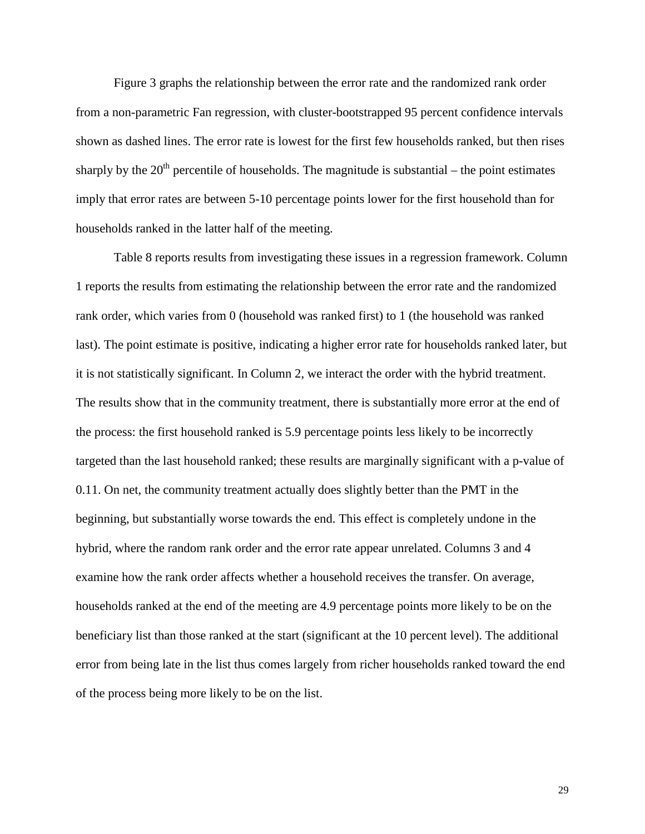Figure 3 graphs the relationship between the error rate and the randomized rank order from a non-parametric Fan regression, with cluster-bootstrapped 95 percent confidence intervals shown as dashed lines. The error rate is lowest for the first few households ranked, but then rises sharply by the  $20<sup>th</sup>$  percentile of households. The magnitude is substantial – the point estimates imply that error rates are between 5-10 percentage points lower for the first household than for households ranked in the latter half of the meeting.

Table 8 reports results from investigating these issues in a regression framework. Column 1 reports the results from estimating the relationship between the error rate and the randomized rank order, which varies from 0 (household was ranked first) to 1 (the household was ranked last). The point estimate is positive, indicating a higher error rate for households ranked later, but it is not statistically significant. In Column 2, we interact the order with the hybrid treatment. The results show that in the community treatment, there is substantially more error at the end of the process: the first household ranked is 5.9 percentage points less likely to be incorrectly targeted than the last household ranked; these results are marginally significant with a p-value of 0.11. On net, the community treatment actually does slightly better than the PMT in the beginning, but substantially worse towards the end. This effect is completely undone in the hybrid, where the random rank order and the error rate appear unrelated. Columns 3 and 4 examine how the rank order affects whether a household receives the transfer. On average, households ranked at the end of the meeting are 4.9 percentage points more likely to be on the beneficiary list than those ranked at the start (significant at the 10 percent level). The additional error from being late in the list thus comes largely from richer households ranked toward the end of the process being more likely to be on the list.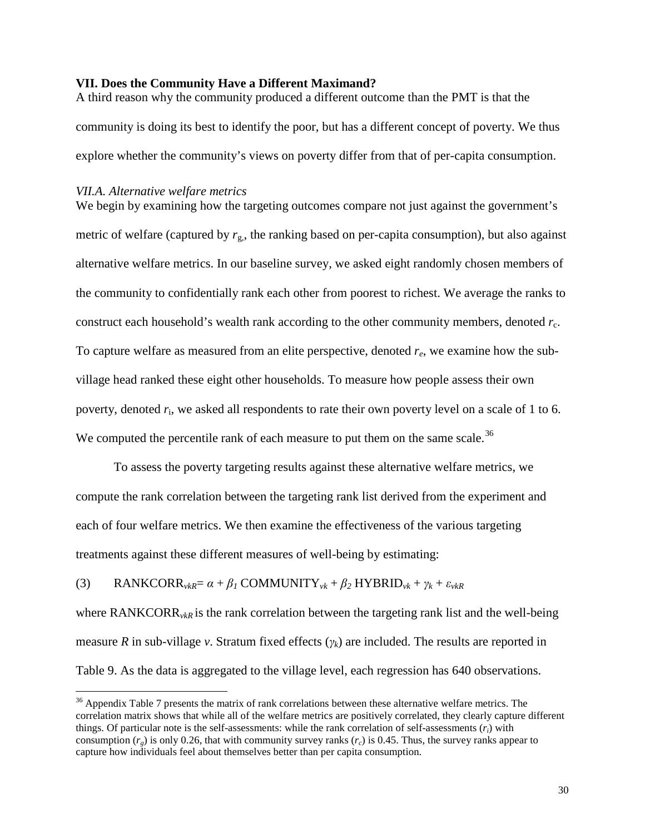## **VII. Does the Community Have a Different Maximand?**

A third reason why the community produced a different outcome than the PMT is that the community is doing its best to identify the poor, but has a different concept of poverty. We thus explore whether the community's views on poverty differ from that of per-capita consumption.

# *VII.A. Alternative welfare metrics*

We begin by examining how the targeting outcomes compare not just against the government's metric of welfare (captured by  $r_{\rm g}$ , the ranking based on per-capita consumption), but also against alternative welfare metrics. In our baseline survey, we asked eight randomly chosen members of the community to confidentially rank each other from poorest to richest. We average the ranks to construct each household's wealth rank according to the other community members, denoted  $r_c$ . To capture welfare as measured from an elite perspective, denoted *re*, we examine how the subvillage head ranked these eight other households. To measure how people assess their own poverty, denoted  $r_i$ , we asked all respondents to rate their own poverty level on a scale of 1 to 6. We computed the percentile rank of each measure to put them on the same scale.<sup>[36](#page-30-0)</sup>

To assess the poverty targeting results against these alternative welfare metrics, we compute the rank correlation between the targeting rank list derived from the experiment and each of four welfare metrics. We then examine the effectiveness of the various targeting treatments against these different measures of well-being by estimating:

(3) RANKCORR<sub>*v*kR</sub>= 
$$
\alpha + \beta_1
$$
 COMMUNITY<sub>*v*k</sub> +  $\beta_2$  HYBRID<sub>*v*k</sub> +  $\gamma_k + \varepsilon_{\nu kR}$ 

where RANKCORR<sub>*vkR*</sub> is the rank correlation between the targeting rank list and the well-being measure *R* in sub-village *v*. Stratum fixed effects (*γk*) are included. The results are reported in Table 9. As the data is aggregated to the village level, each regression has 640 observations.

<span id="page-30-0"></span><sup>&</sup>lt;sup>36</sup> Appendix Table 7 presents the matrix of rank correlations between these alternative welfare metrics. The correlation matrix shows that while all of the welfare metrics are positively correlated, they clearly capture different things. Of particular note is the self-assessments: while the rank correlation of self-assessments (*ri*) with consumption  $(r<sub>e</sub>)$  is only 0.26, that with community survey ranks  $(r<sub>c</sub>)$  is 0.45. Thus, the survey ranks appear to capture how individuals feel about themselves better than per capita consumption.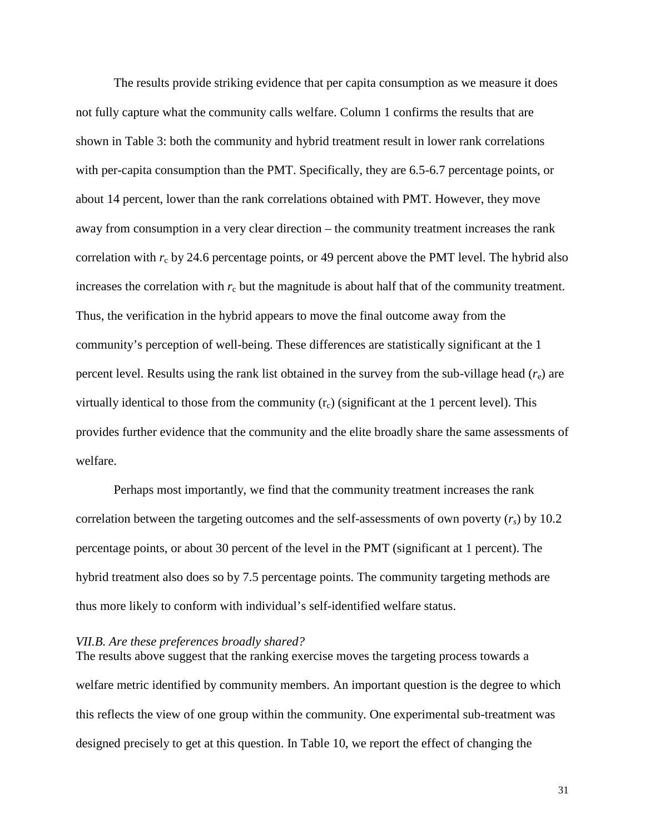The results provide striking evidence that per capita consumption as we measure it does not fully capture what the community calls welfare. Column 1 confirms the results that are shown in Table 3: both the community and hybrid treatment result in lower rank correlations with per-capita consumption than the PMT. Specifically, they are 6.5-6.7 percentage points, or about 14 percent, lower than the rank correlations obtained with PMT. However, they move away from consumption in a very clear direction – the community treatment increases the rank correlation with  $r_c$  by 24.6 percentage points, or 49 percent above the PMT level. The hybrid also increases the correlation with  $r_c$  but the magnitude is about half that of the community treatment. Thus, the verification in the hybrid appears to move the final outcome away from the community's perception of well-being. These differences are statistically significant at the 1 percent level. Results using the rank list obtained in the survey from the sub-village head  $(r_e)$  are virtually identical to those from the community  $(r_c)$  (significant at the 1 percent level). This provides further evidence that the community and the elite broadly share the same assessments of welfare.

Perhaps most importantly, we find that the community treatment increases the rank correlation between the targeting outcomes and the self-assessments of own poverty  $(r<sub>s</sub>)$  by 10.2 percentage points, or about 30 percent of the level in the PMT (significant at 1 percent). The hybrid treatment also does so by 7.5 percentage points. The community targeting methods are thus more likely to conform with individual's self-identified welfare status.

## *VII.B. Are these preferences broadly shared?*

The results above suggest that the ranking exercise moves the targeting process towards a welfare metric identified by community members. An important question is the degree to which this reflects the view of one group within the community. One experimental sub-treatment was designed precisely to get at this question. In Table 10, we report the effect of changing the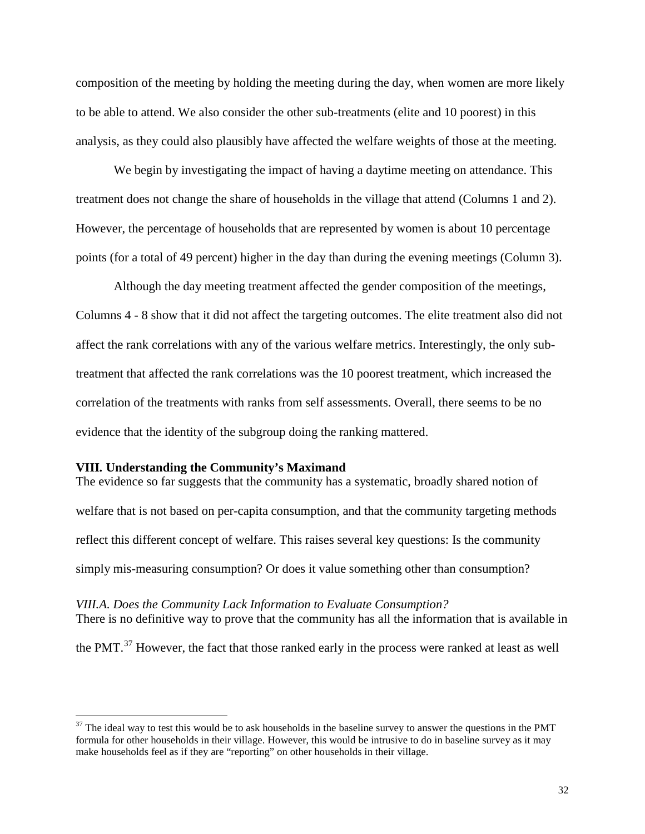composition of the meeting by holding the meeting during the day, when women are more likely to be able to attend. We also consider the other sub-treatments (elite and 10 poorest) in this analysis, as they could also plausibly have affected the welfare weights of those at the meeting.

We begin by investigating the impact of having a daytime meeting on attendance. This treatment does not change the share of households in the village that attend (Columns 1 and 2). However, the percentage of households that are represented by women is about 10 percentage points (for a total of 49 percent) higher in the day than during the evening meetings (Column 3).

Although the day meeting treatment affected the gender composition of the meetings, Columns 4 - 8 show that it did not affect the targeting outcomes. The elite treatment also did not affect the rank correlations with any of the various welfare metrics. Interestingly, the only subtreatment that affected the rank correlations was the 10 poorest treatment, which increased the correlation of the treatments with ranks from self assessments. Overall, there seems to be no evidence that the identity of the subgroup doing the ranking mattered.

#### **VIII***.* **Understanding the Community's Maximand**

The evidence so far suggests that the community has a systematic, broadly shared notion of welfare that is not based on per-capita consumption, and that the community targeting methods reflect this different concept of welfare. This raises several key questions: Is the community simply mis-measuring consumption? Or does it value something other than consumption?

*VIII.A. Does the Community Lack Information to Evaluate Consumption?* There is no definitive way to prove that the community has all the information that is available in the PMT.<sup>[37](#page-32-0)</sup> However, the fact that those ranked early in the process were ranked at least as well

<span id="page-32-0"></span> $37$  The ideal way to test this would be to ask households in the baseline survey to answer the questions in the PMT formula for other households in their village. However, this would be intrusive to do in baseline survey as it may make households feel as if they are "reporting" on other households in their village.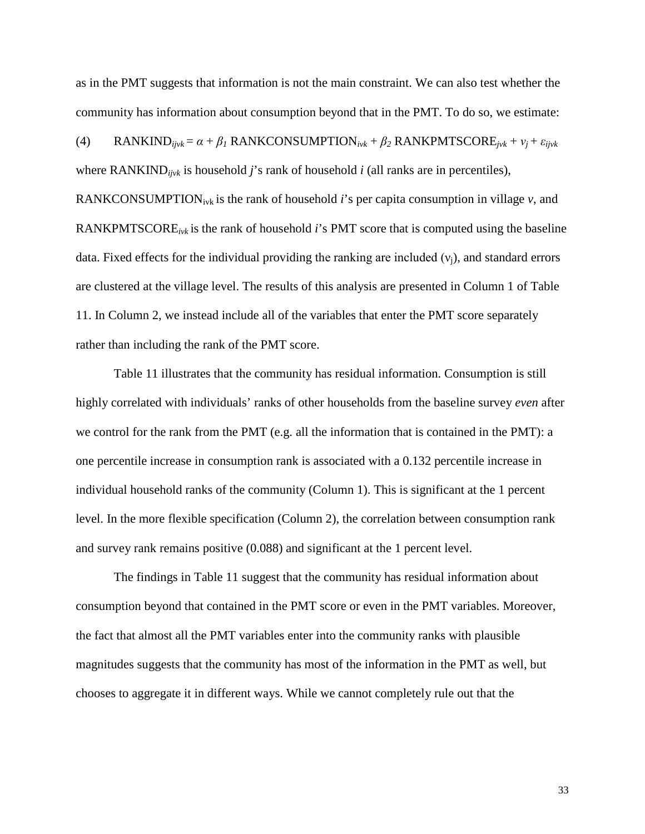as in the PMT suggests that information is not the main constraint. We can also test whether the community has information about consumption beyond that in the PMT. To do so, we estimate:

(4) RANKIND<sub>ijvk</sub> = 
$$
\alpha + \beta_I
$$
 RANKCONSUMPTION<sub>ivk</sub> +  $\beta_2$  RANKPMTSCORE<sub>jvk</sub> +  $v_j$  +  $\varepsilon_{ijvk}$   
where RANKIND<sub>ijvk</sub> is household *j*'s rank of household *i* (all ranks are in percentiles),  
RANKCONSUMPTION<sub>ivk</sub> is the rank of household *i*'s per capita consumption in village *v*, and  
RANKPMTSCORE<sub>ivk</sub> is the rank of household *i*'s PMT score that is computed using the baseline  
data. Fixed effects for the individual providing the ranking are included ( $v_j$ ), and standard errors  
are clustered at the village level. The results of this analysis are presented in Column 1 of Table  
11. In Column 2, we instead include all of the variables that enter the PMT score separately  
rather than including the rank of the PMT score.

Table 11 illustrates that the community has residual information. Consumption is still highly correlated with individuals' ranks of other households from the baseline survey *even* after we control for the rank from the PMT (e.g. all the information that is contained in the PMT): a one percentile increase in consumption rank is associated with a 0.132 percentile increase in individual household ranks of the community (Column 1). This is significant at the 1 percent level. In the more flexible specification (Column 2), the correlation between consumption rank and survey rank remains positive (0.088) and significant at the 1 percent level.

The findings in Table 11 suggest that the community has residual information about consumption beyond that contained in the PMT score or even in the PMT variables. Moreover, the fact that almost all the PMT variables enter into the community ranks with plausible magnitudes suggests that the community has most of the information in the PMT as well, but chooses to aggregate it in different ways. While we cannot completely rule out that the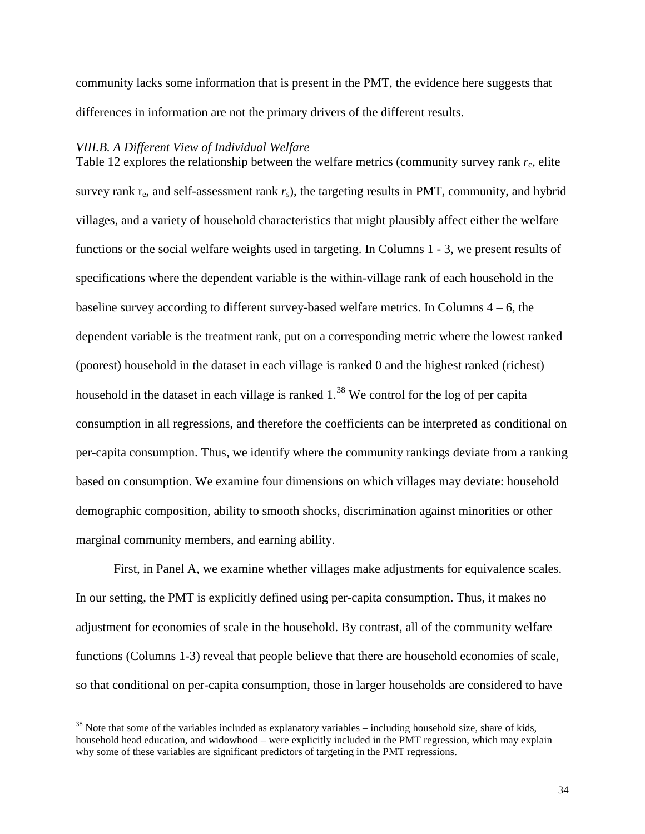community lacks some information that is present in the PMT, the evidence here suggests that differences in information are not the primary drivers of the different results.

#### *VIII.B. A Different View of Individual Welfare*

Table 12 explores the relationship between the welfare metrics (community survey rank  $r_c$ , elite survey rank  $r_e$ , and self-assessment rank  $r_s$ ), the targeting results in PMT, community, and hybrid villages, and a variety of household characteristics that might plausibly affect either the welfare functions or the social welfare weights used in targeting. In Columns 1 - 3, we present results of specifications where the dependent variable is the within-village rank of each household in the baseline survey according to different survey-based welfare metrics. In Columns  $4 - 6$ , the dependent variable is the treatment rank, put on a corresponding metric where the lowest ranked (poorest) household in the dataset in each village is ranked 0 and the highest ranked (richest) household in the dataset in each village is ranked  $1.^{38}$  $1.^{38}$  $1.^{38}$  We control for the log of per capita consumption in all regressions, and therefore the coefficients can be interpreted as conditional on per-capita consumption. Thus, we identify where the community rankings deviate from a ranking based on consumption. We examine four dimensions on which villages may deviate: household demographic composition, ability to smooth shocks, discrimination against minorities or other marginal community members, and earning ability.

First, in Panel A, we examine whether villages make adjustments for equivalence scales. In our setting, the PMT is explicitly defined using per-capita consumption. Thus, it makes no adjustment for economies of scale in the household. By contrast, all of the community welfare functions (Columns 1-3) reveal that people believe that there are household economies of scale, so that conditional on per-capita consumption, those in larger households are considered to have

<span id="page-34-0"></span> $38$  Note that some of the variables included as explanatory variables – including household size, share of kids, household head education, and widowhood – were explicitly included in the PMT regression, which may explain why some of these variables are significant predictors of targeting in the PMT regressions.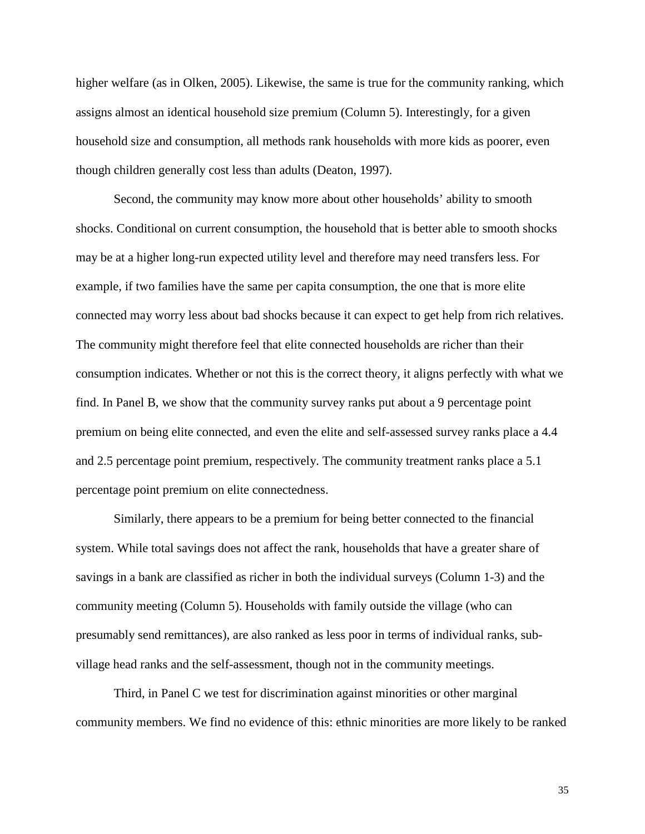higher welfare (as in Olken, 2005). Likewise, the same is true for the community ranking, which assigns almost an identical household size premium (Column 5). Interestingly, for a given household size and consumption, all methods rank households with more kids as poorer, even though children generally cost less than adults (Deaton, 1997).

Second, the community may know more about other households' ability to smooth shocks. Conditional on current consumption, the household that is better able to smooth shocks may be at a higher long-run expected utility level and therefore may need transfers less. For example, if two families have the same per capita consumption, the one that is more elite connected may worry less about bad shocks because it can expect to get help from rich relatives. The community might therefore feel that elite connected households are richer than their consumption indicates. Whether or not this is the correct theory, it aligns perfectly with what we find. In Panel B, we show that the community survey ranks put about a 9 percentage point premium on being elite connected, and even the elite and self-assessed survey ranks place a 4.4 and 2.5 percentage point premium, respectively. The community treatment ranks place a 5.1 percentage point premium on elite connectedness.

Similarly, there appears to be a premium for being better connected to the financial system. While total savings does not affect the rank, households that have a greater share of savings in a bank are classified as richer in both the individual surveys (Column 1-3) and the community meeting (Column 5). Households with family outside the village (who can presumably send remittances), are also ranked as less poor in terms of individual ranks, subvillage head ranks and the self-assessment, though not in the community meetings.

Third, in Panel C we test for discrimination against minorities or other marginal community members. We find no evidence of this: ethnic minorities are more likely to be ranked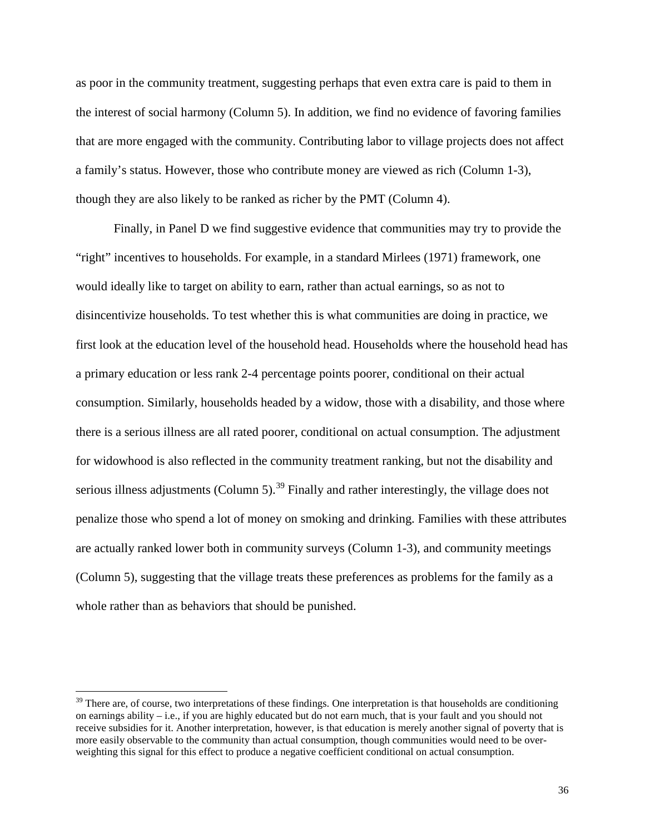as poor in the community treatment, suggesting perhaps that even extra care is paid to them in the interest of social harmony (Column 5). In addition, we find no evidence of favoring families that are more engaged with the community. Contributing labor to village projects does not affect a family's status. However, those who contribute money are viewed as rich (Column 1-3), though they are also likely to be ranked as richer by the PMT (Column 4).

Finally, in Panel D we find suggestive evidence that communities may try to provide the "right" incentives to households. For example, in a standard Mirlees (1971) framework, one would ideally like to target on ability to earn, rather than actual earnings, so as not to disincentivize households. To test whether this is what communities are doing in practice, we first look at the education level of the household head. Households where the household head has a primary education or less rank 2-4 percentage points poorer, conditional on their actual consumption. Similarly, households headed by a widow, those with a disability, and those where there is a serious illness are all rated poorer, conditional on actual consumption. The adjustment for widowhood is also reflected in the community treatment ranking, but not the disability and serious illness adjustments (Column 5).<sup>[39](#page-36-0)</sup> Finally and rather interestingly, the village does not penalize those who spend a lot of money on smoking and drinking. Families with these attributes are actually ranked lower both in community surveys (Column 1-3), and community meetings (Column 5), suggesting that the village treats these preferences as problems for the family as a whole rather than as behaviors that should be punished.

<span id="page-36-0"></span> $39$  There are, of course, two interpretations of these findings. One interpretation is that households are conditioning on earnings ability – i.e., if you are highly educated but do not earn much, that is your fault and you should not receive subsidies for it. Another interpretation, however, is that education is merely another signal of poverty that is more easily observable to the community than actual consumption, though communities would need to be overweighting this signal for this effect to produce a negative coefficient conditional on actual consumption.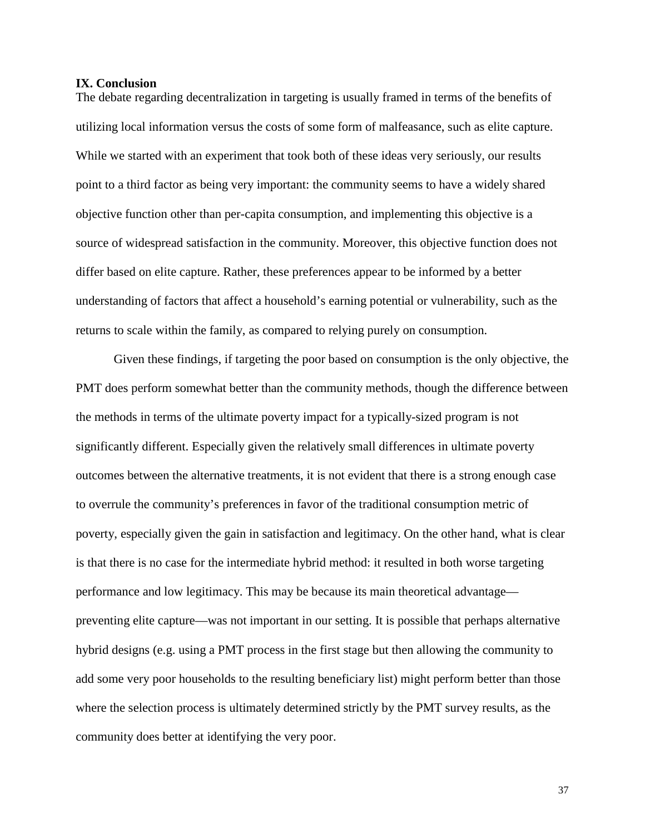#### **IX. Conclusion**

The debate regarding decentralization in targeting is usually framed in terms of the benefits of utilizing local information versus the costs of some form of malfeasance, such as elite capture. While we started with an experiment that took both of these ideas very seriously, our results point to a third factor as being very important: the community seems to have a widely shared objective function other than per-capita consumption, and implementing this objective is a source of widespread satisfaction in the community. Moreover, this objective function does not differ based on elite capture. Rather, these preferences appear to be informed by a better understanding of factors that affect a household's earning potential or vulnerability, such as the returns to scale within the family, as compared to relying purely on consumption.

Given these findings, if targeting the poor based on consumption is the only objective, the PMT does perform somewhat better than the community methods, though the difference between the methods in terms of the ultimate poverty impact for a typically-sized program is not significantly different. Especially given the relatively small differences in ultimate poverty outcomes between the alternative treatments, it is not evident that there is a strong enough case to overrule the community's preferences in favor of the traditional consumption metric of poverty, especially given the gain in satisfaction and legitimacy. On the other hand, what is clear is that there is no case for the intermediate hybrid method: it resulted in both worse targeting performance and low legitimacy. This may be because its main theoretical advantage preventing elite capture—was not important in our setting. It is possible that perhaps alternative hybrid designs (e.g. using a PMT process in the first stage but then allowing the community to add some very poor households to the resulting beneficiary list) might perform better than those where the selection process is ultimately determined strictly by the PMT survey results, as the community does better at identifying the very poor.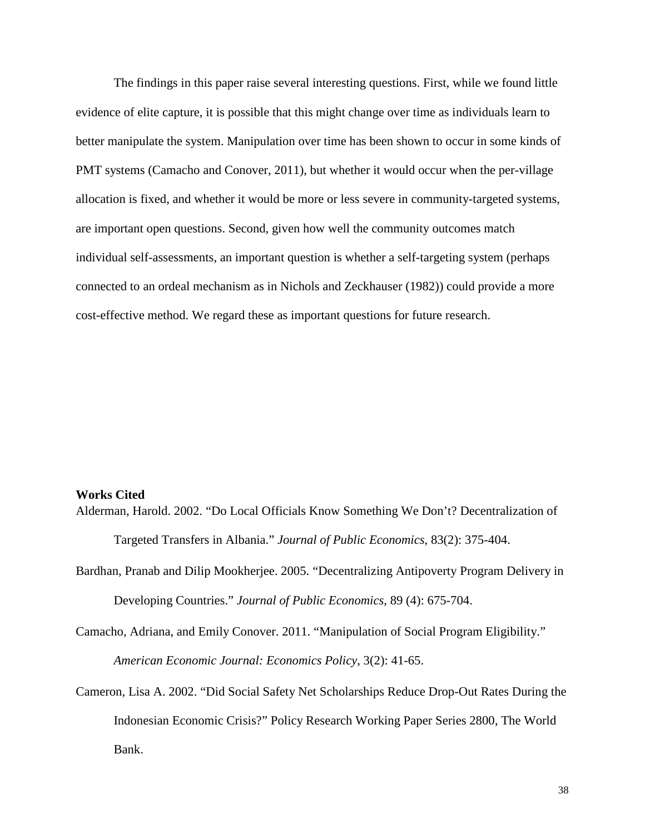The findings in this paper raise several interesting questions. First, while we found little evidence of elite capture, it is possible that this might change over time as individuals learn to better manipulate the system. Manipulation over time has been shown to occur in some kinds of PMT systems (Camacho and Conover, 2011), but whether it would occur when the per-village allocation is fixed, and whether it would be more or less severe in community-targeted systems, are important open questions. Second, given how well the community outcomes match individual self-assessments, an important question is whether a self-targeting system (perhaps connected to an ordeal mechanism as in Nichols and Zeckhauser (1982)) could provide a more cost-effective method. We regard these as important questions for future research.

#### **Works Cited**

Alderman, Harold. 2002. "Do Local Officials Know Something We Don't? Decentralization of Targeted Transfers in Albania." *Journal of Public Economics*, 83(2): 375-404.

- Bardhan, Pranab and Dilip Mookherjee. 2005. "Decentralizing Antipoverty Program Delivery in Developing Countries." *Journal of Public Economics*, 89 (4): 675-704.
- Camacho, Adriana, and Emily Conover. 2011. "Manipulation of Social Program Eligibility." *American Economic Journal: Economics Policy*, 3(2): 41-65.
- Cameron, Lisa A. 2002. "Did [Social Safety Net Scholarships Reduce Drop-Out Rates During the](http://ideas.repec.org/p/wbk/wbrwps/2800.html)  [Indonesian Economic Crisis?"](http://ideas.repec.org/p/wbk/wbrwps/2800.html) [Policy Research Working Paper Series](http://ideas.repec.org/s/wbk/wbrwps.html) 2800, The World Bank.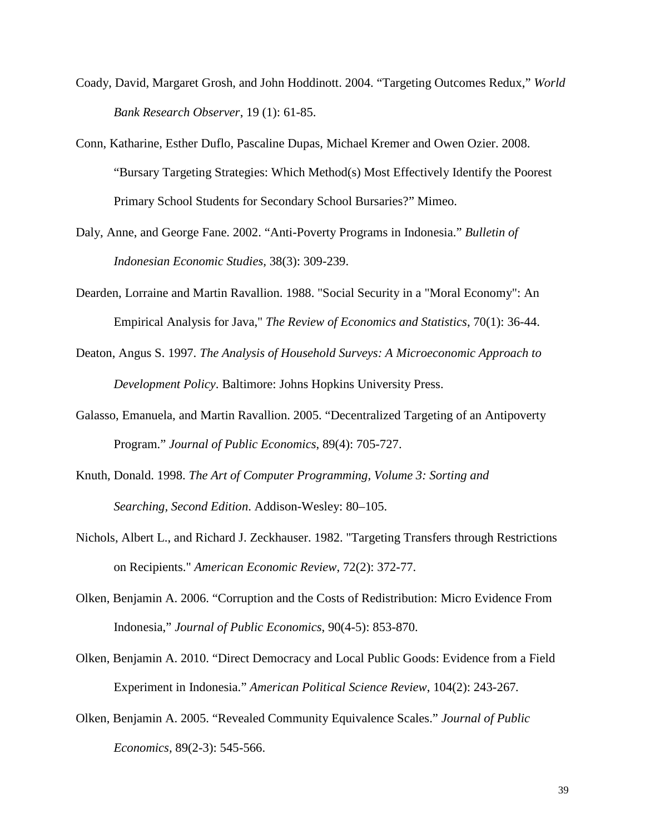- Coady, David, Margaret Grosh, and John Hoddinott. 2004. "Targeting Outcomes Redux," *World Bank Research Observer*, 19 (1): 61-85.
- Conn, Katharine, Esther Duflo, Pascaline Dupas, Michael Kremer and Owen Ozier. 2008. "Bursary Targeting Strategies: Which Method(s) Most Effectively Identify the Poorest Primary School Students for Secondary School Bursaries?" Mimeo.
- Daly, Anne, and George Fane. 2002. "Anti-Poverty Programs in Indonesia." *Bulletin of Indonesian Economic Studies,* 38(3): 309-239.
- Dearden, Lorraine and Martin Ravallion. 1988. "Social Security in a "Moral Economy": An Empirical Analysis for Java," *The Review of Economics and Statistics*, 70(1): 36-44.
- Deaton, Angus S. 1997. *The Analysis of Household Surveys: A Microeconomic Approach to Development Policy*. Baltimore: Johns Hopkins University Press.
- Galasso, Emanuela, and Martin Ravallion. 2005. "Decentralized Targeting of an Antipoverty Program." *Journal of Public Economics*, 89(4): 705-727.
- Knuth, Donald. 1998. *The Art of Computer Programming, Volume 3: Sorting and Searching, Second Edition*. Addison-Wesley: 80–105.
- Nichols, Albert L., and Richard J. Zeckhauser. 1982. ["Targeting Transfers through Restrictions](http://ideas.repec.org/a/aea/aecrev/v72y1982i2p372-77.html)  [on Recipients.](http://ideas.repec.org/a/aea/aecrev/v72y1982i2p372-77.html)" *[American Economic Review](http://ideas.repec.org/s/aea/aecrev.html)*, 72(2): 372-77.
- Olken, Benjamin A. 2006. "Corruption and the Costs of Redistribution: Micro Evidence From Indonesia," *Journal of Public Economics*, 90(4-5): 853-870.
- Olken, Benjamin A. 2010. "Direct Democracy and Local Public Goods: Evidence from a Field Experiment in Indonesia." *American Political Science Review*, 104(2): 243-267*.*
- Olken, Benjamin A. 2005. "Revealed Community Equivalence Scales." *Journal of Public Economics,* 89(2-3): 545-566.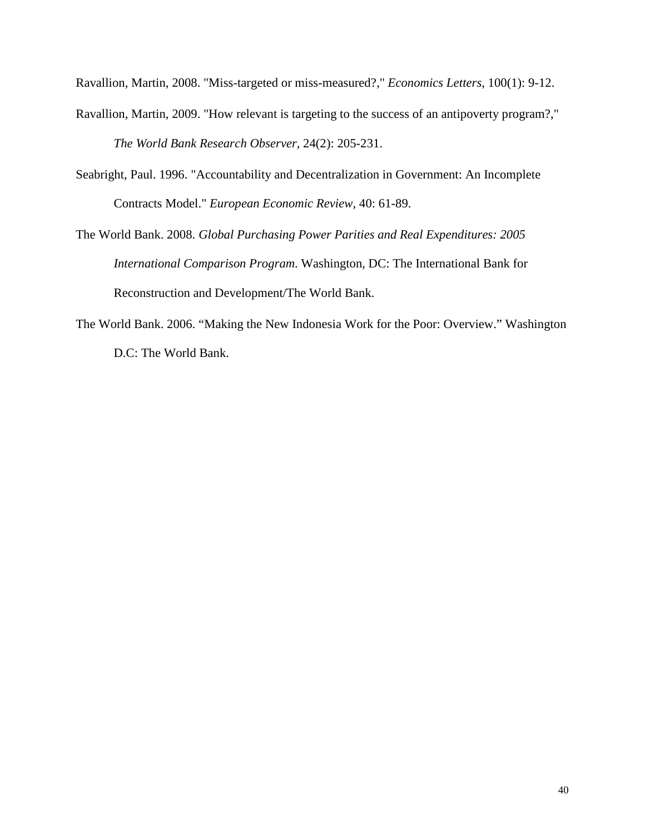Ravallion, Martin, 2008. "Miss-targeted or miss-measured?," *Economics Letters*, 100(1): 9-12.

- Ravallion, Martin, 2009. "How relevant is targeting to the success of an antipoverty program?," *The World Bank Research Observer,* 24(2): 205-231.
- Seabright, Paul. 1996. "Accountability and Decentralization in Government: An Incomplete Contracts Model." *European Economic Review*, 40: 61-89.
- The World Bank. 2008. *Global Purchasing Power Parities and Real Expenditures: 2005 International Comparison Program*. Washington, DC: The International Bank for Reconstruction and Development/The World Bank.
- The World Bank. 2006. "Making the New Indonesia Work for the Poor: Overview." Washington D.C: The World Bank.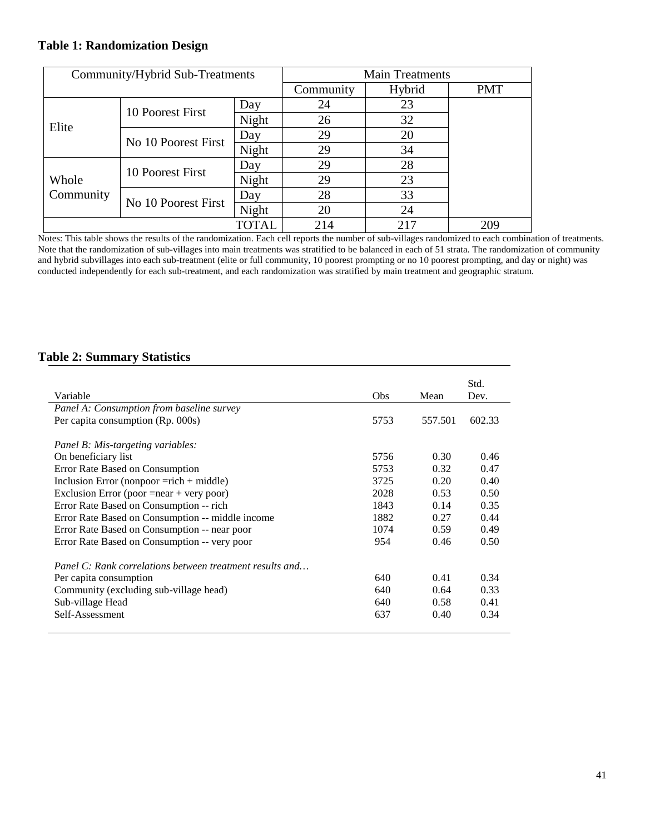# **Table 1: Randomization Design**

|                    | Community/Hybrid Sub-Treatments |       |           | <b>Main Treatments</b> |            |  |  |
|--------------------|---------------------------------|-------|-----------|------------------------|------------|--|--|
|                    |                                 |       | Community | Hybrid                 | <b>PMT</b> |  |  |
|                    | 10 Poorest First                | Day   | 24        | 23                     |            |  |  |
| Elite              |                                 | Night | 26        | 32                     |            |  |  |
|                    | No 10 Poorest First             | Day   | 29        | 20                     |            |  |  |
|                    |                                 | Night | 29        | 34                     |            |  |  |
|                    |                                 | Day   | 29        | 28                     |            |  |  |
| Whole<br>Community | 10 Poorest First                | Night | 29        | 23                     |            |  |  |
|                    | No 10 Poorest First             | Day   | 28        | 33                     |            |  |  |
|                    |                                 | Night | 20        | 24                     |            |  |  |
|                    |                                 | TOTAL | 214       | 217                    | 209        |  |  |

Notes: This table shows the results of the randomization. Each cell reports the number of sub-villages randomized to each combination of treatments. Note that the randomization of sub-villages into main treatments was stratified to be balanced in each of 51 strata. The randomization of community and hybrid subvillages into each sub-treatment (elite or full community, 10 poorest prompting or no 10 poorest prompting, and day or night) was conducted independently for each sub-treatment, and each randomization was stratified by main treatment and geographic stratum.

# **Table 2: Summary Statistics**

| Variable                                                 | <b>Obs</b> | Mean    | Std.<br>Dev. |
|----------------------------------------------------------|------------|---------|--------------|
| Panel A: Consumption from baseline survey                |            |         |              |
| Per capita consumption (Rp. 000s)                        | 5753       | 557.501 | 602.33       |
| Panel B: Mis-targeting variables:<br>On beneficiary list | 5756       | 0.30    | 0.46         |
| Error Rate Based on Consumption                          | 5753       | 0.32    | 0.47         |
| Inclusion Error (nonpoor $=$ rich + middle)              | 3725       | 0.20    | 0.40         |
| Exclusion Error (poor $=$ near + very poor)              | 2028       | 0.53    | 0.50         |
| Error Rate Based on Consumption -- rich                  | 1843       | 0.14    | 0.35         |
| Error Rate Based on Consumption -- middle income         | 1882       | 0.27    | 0.44         |
| Error Rate Based on Consumption -- near poor             | 1074       | 0.59    | 0.49         |
| Error Rate Based on Consumption -- very poor             | 954        | 0.46    | 0.50         |
| Panel C: Rank correlations between treatment results and |            |         |              |
| Per capita consumption                                   | 640        | 0.41    | 0.34         |
| Community (excluding sub-village head)                   | 640        | 0.64    | 0.33         |
| Sub-village Head                                         | 640        | 0.58    | 0.41         |
| Self-Assessment                                          | 637        | 0.40    | 0.34         |
|                                                          |            |         |              |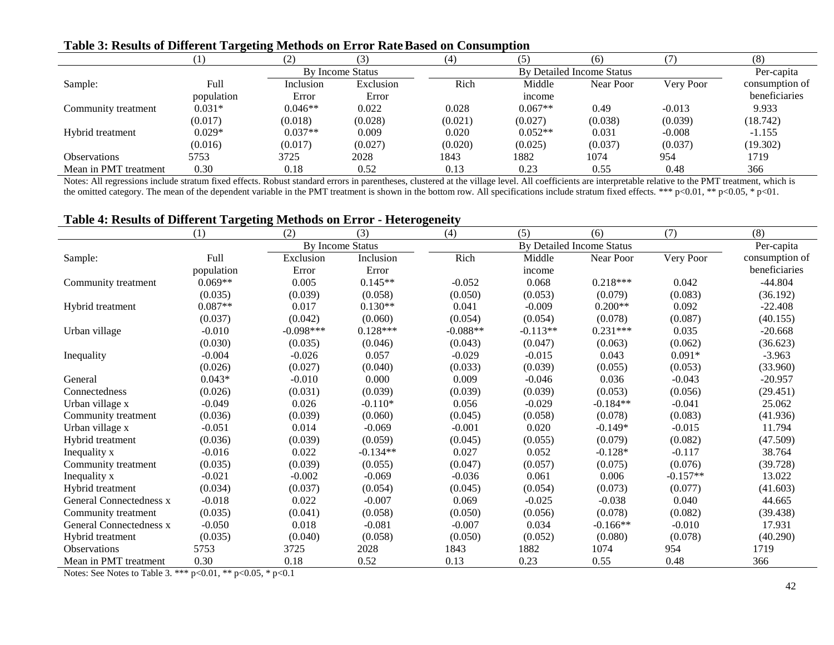|                       |            | $\left( 2\right)$ |                  | (4)     |           | (6)                       |           | (8)            |
|-----------------------|------------|-------------------|------------------|---------|-----------|---------------------------|-----------|----------------|
|                       |            |                   | By Income Status |         |           | By Detailed Income Status |           | Per-capita     |
| Sample:               | Full       | Inclusion         | Exclusion        | Rich    | Middle    | Near Poor                 | Very Poor | consumption of |
|                       | population | Error             | Error            |         | income    |                           |           | beneficiaries  |
| Community treatment   | $0.031*$   | $0.046**$         | 0.022            | 0.028   | $0.067**$ | 0.49                      | $-0.013$  | 9.933          |
|                       | (0.017)    | (0.018)           | (0.028)          | (0.021) | (0.027)   | (0.038)                   | (0.039)   | (18.742)       |
| Hybrid treatment      | $0.029*$   | $0.037**$         | 0.009            | 0.020   | $0.052**$ | 0.031                     | $-0.008$  | $-1.155$       |
|                       | (0.016)    | (0.017)           | (0.027)          | (0.020) | (0.025)   | (0.037)                   | (0.037)   | (19.302)       |
| <b>Observations</b>   | 5753       | 3725              | 2028             | 1843    | 1882      | 1074                      | 954       | 1719           |
| Mean in PMT treatment | 0.30       | 0.18              | 0.52             | 0.13    | 0.23      | 0.55                      | 0.48      | 366            |

# **Table 3: Results of Different Targeting Methods on Error RateBased on Consumption**

Notes: All regressions include stratum fixed effects. Robust standard errors in parentheses, clustered at the village level. All coefficients are interpretable relative to the PMT treatment, which is the omitted category. The mean of the dependent variable in the PMT treatment is shown in the bottom row. All specifications include stratum fixed effects. \*\*\*  $p<0.01$ , \*\*  $p<0.05$ , \*  $p<0.1$ .

# **Table 4: Results of Different Targeting Methods on Error - Heterogeneity**

|                         | (1)        | (2)         | (3)              | (4)        | (5)        | (6)                              | (7)        | (8)            |
|-------------------------|------------|-------------|------------------|------------|------------|----------------------------------|------------|----------------|
|                         |            |             | By Income Status |            |            | <b>By Detailed Income Status</b> |            | Per-capita     |
| Sample:                 | Full       | Exclusion   | Inclusion        | Rich       | Middle     | Near Poor                        | Very Poor  | consumption of |
|                         | population | Error       | Error            |            | income     |                                  |            | beneficiaries  |
| Community treatment     | $0.069**$  | 0.005       | $0.145**$        | $-0.052$   | 0.068      | $0.218***$                       | 0.042      | $-44.804$      |
|                         | (0.035)    | (0.039)     | (0.058)          | (0.050)    | (0.053)    | (0.079)                          | (0.083)    | (36.192)       |
| Hybrid treatment        | $0.087**$  | 0.017       | $0.130**$        | 0.041      | $-0.009$   | $0.200**$                        | 0.092      | $-22.408$      |
|                         | (0.037)    | (0.042)     | (0.060)          | (0.054)    | (0.054)    | (0.078)                          | (0.087)    | (40.155)       |
| Urban village           | $-0.010$   | $-0.098***$ | $0.128***$       | $-0.088**$ | $-0.113**$ | $0.231***$                       | 0.035      | $-20.668$      |
|                         | (0.030)    | (0.035)     | (0.046)          | (0.043)    | (0.047)    | (0.063)                          | (0.062)    | (36.623)       |
| Inequality              | $-0.004$   | $-0.026$    | 0.057            | $-0.029$   | $-0.015$   | 0.043                            | $0.091*$   | $-3.963$       |
|                         | (0.026)    | (0.027)     | (0.040)          | (0.033)    | (0.039)    | (0.055)                          | (0.053)    | (33.960)       |
| General                 | $0.043*$   | $-0.010$    | 0.000            | 0.009      | $-0.046$   | 0.036                            | $-0.043$   | $-20.957$      |
| Connectedness           | (0.026)    | (0.031)     | (0.039)          | (0.039)    | (0.039)    | (0.053)                          | (0.056)    | (29.451)       |
| Urban village x         | $-0.049$   | 0.026       | $-0.110*$        | 0.056      | $-0.029$   | $-0.184**$                       | $-0.041$   | 25.062         |
| Community treatment     | (0.036)    | (0.039)     | (0.060)          | (0.045)    | (0.058)    | (0.078)                          | (0.083)    | (41.936)       |
| Urban village x         | $-0.051$   | 0.014       | $-0.069$         | $-0.001$   | 0.020      | $-0.149*$                        | $-0.015$   | 11.794         |
| Hybrid treatment        | (0.036)    | (0.039)     | (0.059)          | (0.045)    | (0.055)    | (0.079)                          | (0.082)    | (47.509)       |
| Inequality x            | $-0.016$   | 0.022       | $-0.134**$       | 0.027      | 0.052      | $-0.128*$                        | $-0.117$   | 38.764         |
| Community treatment     | (0.035)    | (0.039)     | (0.055)          | (0.047)    | (0.057)    | (0.075)                          | (0.076)    | (39.728)       |
| Inequality x            | $-0.021$   | $-0.002$    | $-0.069$         | $-0.036$   | 0.061      | 0.006                            | $-0.157**$ | 13.022         |
| Hybrid treatment        | (0.034)    | (0.037)     | (0.054)          | (0.045)    | (0.054)    | (0.073)                          | (0.077)    | (41.603)       |
| General Connectedness x | $-0.018$   | 0.022       | $-0.007$         | 0.069      | $-0.025$   | $-0.038$                         | 0.040      | 44.665         |
| Community treatment     | (0.035)    | (0.041)     | (0.058)          | (0.050)    | (0.056)    | (0.078)                          | (0.082)    | (39.438)       |
| General Connectedness x | $-0.050$   | 0.018       | $-0.081$         | $-0.007$   | 0.034      | $-0.166**$                       | $-0.010$   | 17.931         |
| Hybrid treatment        | (0.035)    | (0.040)     | (0.058)          | (0.050)    | (0.052)    | (0.080)                          | (0.078)    | (40.290)       |
| <b>Observations</b>     | 5753       | 3725        | 2028             | 1843       | 1882       | 1074                             | 954        | 1719           |
| Mean in PMT treatment   | 0.30       | 0.18        | 0.52             | 0.13       | 0.23       | 0.55                             | 0.48       | 366            |

Notes: See Notes to Table 3. \*\*\* p<0.01, \*\* p<0.05, \* p<0.1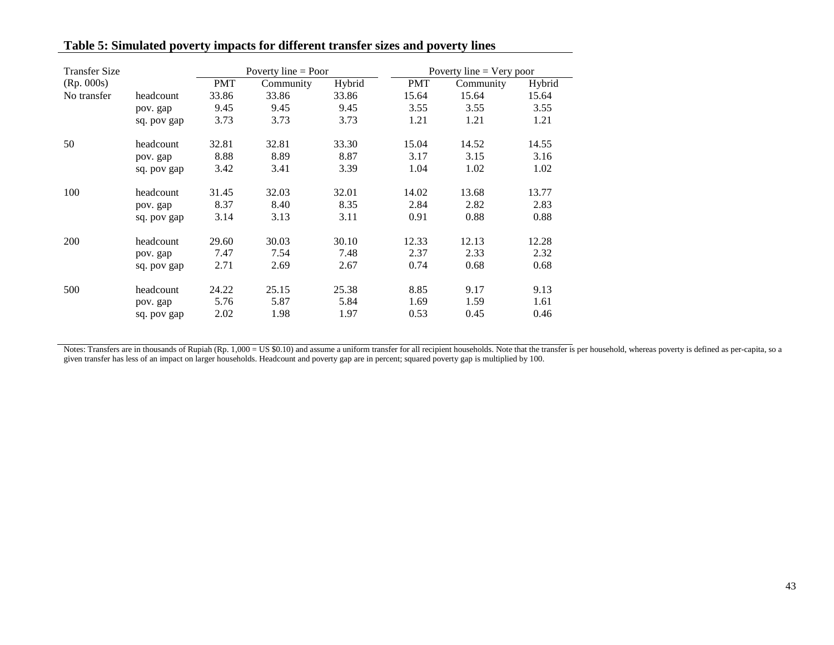| <b>Transfer Size</b> |             | Poverty line $=$ Poor |           |        |            | Poverty line $=$ Very poor |        |  |
|----------------------|-------------|-----------------------|-----------|--------|------------|----------------------------|--------|--|
| (Rp. 000s)           |             | <b>PMT</b>            | Community | Hybrid | <b>PMT</b> | Community                  | Hybrid |  |
| No transfer          | headcount   | 33.86                 | 33.86     | 33.86  | 15.64      | 15.64                      | 15.64  |  |
|                      | pov. gap    | 9.45                  | 9.45      | 9.45   | 3.55       | 3.55                       | 3.55   |  |
|                      | sq. pov gap | 3.73                  | 3.73      | 3.73   | 1.21       | 1.21                       | 1.21   |  |
| 50                   | headcount   | 32.81                 | 32.81     | 33.30  | 15.04      | 14.52                      | 14.55  |  |
|                      | pov. gap    | 8.88                  | 8.89      | 8.87   | 3.17       | 3.15                       | 3.16   |  |
|                      | sq. pov gap | 3.42                  | 3.41      | 3.39   | 1.04       | 1.02                       | 1.02   |  |
| 100                  | headcount   | 31.45                 | 32.03     | 32.01  | 14.02      | 13.68                      | 13.77  |  |
|                      | pov. gap    | 8.37                  | 8.40      | 8.35   | 2.84       | 2.82                       | 2.83   |  |
|                      | sq. pov gap | 3.14                  | 3.13      | 3.11   | 0.91       | 0.88                       | 0.88   |  |
| 200                  | headcount   | 29.60                 | 30.03     | 30.10  | 12.33      | 12.13                      | 12.28  |  |
|                      | pov. gap    | 7.47                  | 7.54      | 7.48   | 2.37       | 2.33                       | 2.32   |  |
|                      | sq. pov gap | 2.71                  | 2.69      | 2.67   | 0.74       | 0.68                       | 0.68   |  |
| 500                  | headcount   | 24.22                 | 25.15     | 25.38  | 8.85       | 9.17                       | 9.13   |  |
|                      | pov. gap    | 5.76                  | 5.87      | 5.84   | 1.69       | 1.59                       | 1.61   |  |
|                      | sq. pov gap | 2.02                  | 1.98      | 1.97   | 0.53       | 0.45                       | 0.46   |  |

# **Table 5: Simulated poverty impacts for different transfer sizes and poverty lines**

Notes: Transfers are in thousands of Rupiah (Rp. 1,000 = US \$0.10) and assume a uniform transfer for all recipient households. Note that the transfer is per household, whereas poverty is defined as per-capita, so a given transfer has less of an impact on larger households. Headcount and poverty gap are in percent; squared poverty gap is multiplied by 100.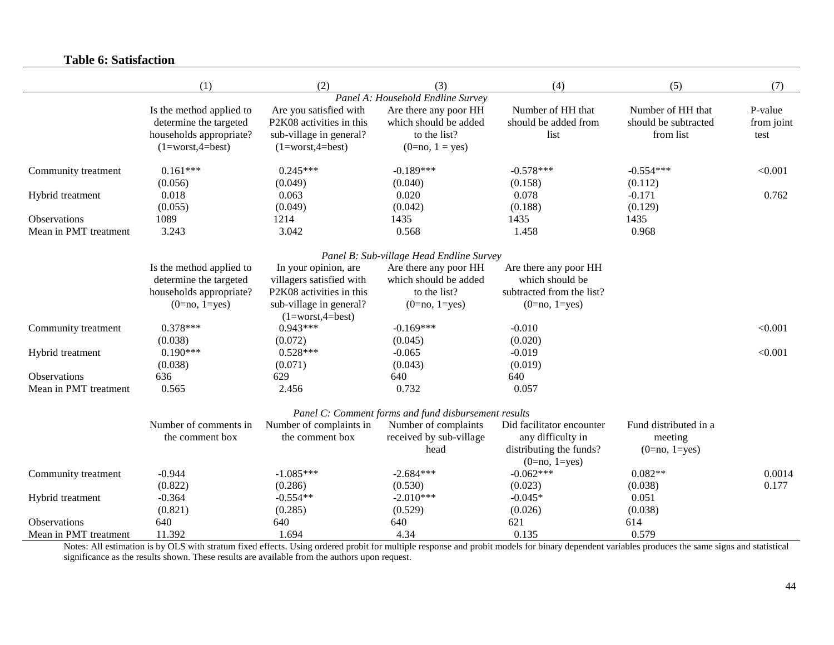# **Table 6: Satisfaction**

|                       | (1)                      | (2)                                           | (3)                                                  | (4)                       | (5)                   | (7)        |
|-----------------------|--------------------------|-----------------------------------------------|------------------------------------------------------|---------------------------|-----------------------|------------|
|                       |                          |                                               | Panel A: Household Endline Survey                    |                           |                       |            |
|                       | Is the method applied to | Are you satisfied with                        | Are there any poor HH                                | Number of HH that         | Number of HH that     | P-value    |
|                       | determine the targeted   | P2K08 activities in this                      | which should be added                                | should be added from      | should be subtracted  | from joint |
|                       | households appropriate?  | sub-village in general?                       | to the list?                                         | list                      | from list             | test       |
|                       | $(1=worst,4=best)$       | $(1=worst,4=best)$                            | $(0=no, 1 = yes)$                                    |                           |                       |            |
| Community treatment   | $0.161***$               | $0.245***$                                    | $-0.189***$                                          | $-0.578***$               | $-0.554***$           | < 0.001    |
|                       | (0.056)                  | (0.049)                                       | (0.040)                                              | (0.158)                   | (0.112)               |            |
| Hybrid treatment      | 0.018                    | 0.063                                         | 0.020                                                | 0.078                     | $-0.171$              | 0.762      |
|                       | (0.055)                  | (0.049)                                       | (0.042)                                              | (0.188)                   | (0.129)               |            |
| Observations          | 1089                     | 1214                                          | 1435                                                 | 1435                      | 1435                  |            |
| Mean in PMT treatment | 3.243                    | 3.042                                         | 0.568                                                | 1.458                     | 0.968                 |            |
|                       |                          |                                               | Panel B: Sub-village Head Endline Survey             |                           |                       |            |
|                       | Is the method applied to | In your opinion, are                          | Are there any poor HH                                | Are there any poor HH     |                       |            |
|                       | determine the targeted   | villagers satisfied with                      | which should be added                                | which should be           |                       |            |
|                       | households appropriate?  | P2K08 activities in this                      | to the list?                                         | subtracted from the list? |                       |            |
|                       | $(0=no, 1=yes)$          | sub-village in general?<br>$(1=worst,4=best)$ | $(0=no, 1=yes)$                                      | $(0=no, 1=yes)$           |                       |            |
| Community treatment   | $0.378***$               | $0.943***$                                    | $-0.169***$                                          | $-0.010$                  |                       | < 0.001    |
|                       | (0.038)                  | (0.072)                                       | (0.045)                                              | (0.020)                   |                       |            |
| Hybrid treatment      | $0.190***$               | $0.528***$                                    | $-0.065$                                             | $-0.019$                  |                       | < 0.001    |
|                       | (0.038)                  | (0.071)                                       | (0.043)                                              | (0.019)                   |                       |            |
| <b>Observations</b>   | 636                      | 629                                           | 640                                                  | 640                       |                       |            |
| Mean in PMT treatment | 0.565                    | 2.456                                         | 0.732                                                | 0.057                     |                       |            |
|                       |                          |                                               | Panel C: Comment forms and fund disbursement results |                           |                       |            |
|                       | Number of comments in    | Number of complaints in                       | Number of complaints                                 | Did facilitator encounter | Fund distributed in a |            |
|                       | the comment box          | the comment box                               | received by sub-village                              | any difficulty in         | meeting               |            |
|                       |                          |                                               | head                                                 | distributing the funds?   | $(0=no, 1=yes)$       |            |
|                       |                          |                                               |                                                      | $(0=no, 1=yes)$           |                       |            |
| Community treatment   | $-0.944$                 | $-1.085***$                                   | $-2.684***$                                          | $-0.062***$               | $0.082**$             | 0.0014     |
|                       | (0.822)                  | (0.286)                                       | (0.530)                                              | (0.023)                   | (0.038)               | 0.177      |
| Hybrid treatment      | $-0.364$                 | $-0.554**$                                    | $-2.010***$                                          | $-0.045*$                 | 0.051                 |            |
|                       | (0.821)                  | (0.285)                                       | (0.529)                                              | (0.026)                   | (0.038)               |            |
| Observations          | 640                      | 640                                           | 640                                                  | 621                       | 614                   |            |
| Mean in PMT treatment | 11.392                   | 1.694                                         | 4.34                                                 | 0.135                     | 0.579                 |            |

Notes: All estimation is by OLS with stratum fixed effects. Using ordered probit for multiple response and probit models for binary dependent variables produces the same signs and statistical significance as the results shown. These results are available from the authors upon request.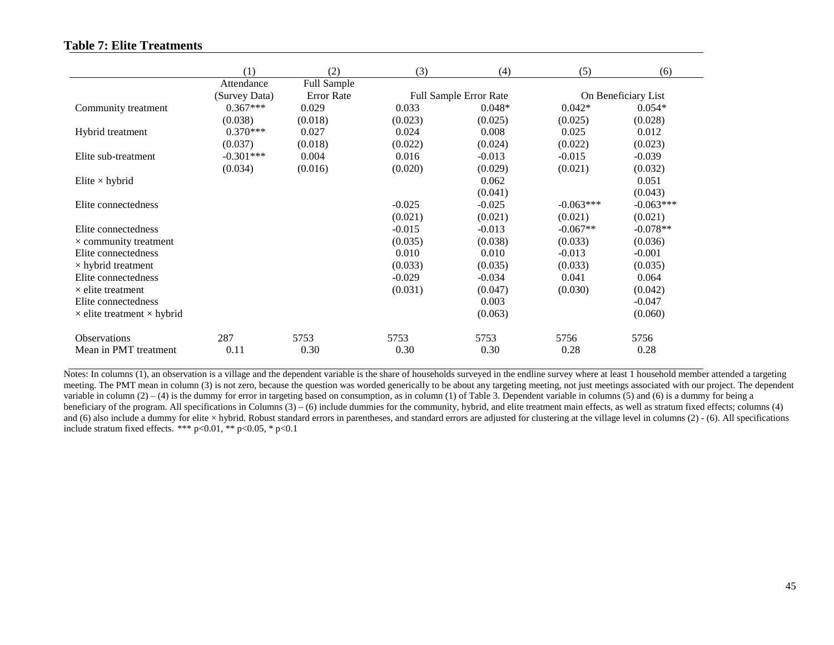# **Table 7: Elite Treatments**

|                                          | (1)<br>Attendance | (2)<br>Full Sample | (3)      | (4)                           | (5)         | (6)                 |
|------------------------------------------|-------------------|--------------------|----------|-------------------------------|-------------|---------------------|
|                                          | (Survey Data)     | <b>Error</b> Rate  |          | <b>Full Sample Error Rate</b> |             | On Beneficiary List |
| Community treatment                      | $0.367***$        | 0.029              | 0.033    | $0.048*$                      | $0.042*$    | $0.054*$            |
|                                          | (0.038)           | (0.018)            | (0.023)  | (0.025)                       | (0.025)     | (0.028)             |
| Hybrid treatment                         | $0.370***$        | 0.027              | 0.024    | 0.008                         | 0.025       | 0.012               |
|                                          | (0.037)           | (0.018)            | (0.022)  | (0.024)                       | (0.022)     | (0.023)             |
| Elite sub-treatment                      | $-0.301***$       | 0.004              | 0.016    | $-0.013$                      | $-0.015$    | $-0.039$            |
|                                          | (0.034)           | (0.016)            | (0.020)  | (0.029)                       | (0.021)     | (0.032)             |
| Elite $\times$ hybrid                    |                   |                    |          | 0.062                         |             | 0.051               |
|                                          |                   |                    |          | (0.041)                       |             | (0.043)             |
| Elite connectedness                      |                   |                    | $-0.025$ | $-0.025$                      | $-0.063***$ | $-0.063***$         |
|                                          |                   |                    | (0.021)  | (0.021)                       | (0.021)     | (0.021)             |
| Elite connectedness                      |                   |                    | $-0.015$ | $-0.013$                      | $-0.067**$  | $-0.078**$          |
| $\times$ community treatment             |                   |                    | (0.035)  | (0.038)                       | (0.033)     | (0.036)             |
| Elite connectedness                      |                   |                    | 0.010    | 0.010                         | $-0.013$    | $-0.001$            |
| $\times$ hybrid treatment                |                   |                    | (0.033)  | (0.035)                       | (0.033)     | (0.035)             |
| Elite connectedness                      |                   |                    | $-0.029$ | $-0.034$                      | 0.041       | 0.064               |
| $\times$ elite treatment                 |                   |                    | (0.031)  | (0.047)                       | (0.030)     | (0.042)             |
| Elite connectedness                      |                   |                    |          | 0.003                         |             | $-0.047$            |
| $\times$ elite treatment $\times$ hybrid |                   |                    |          | (0.063)                       |             | (0.060)             |
| <b>Observations</b>                      | 287               | 5753               | 5753     | 5753                          | 5756        | 5756                |
| Mean in PMT treatment                    | 0.11              | 0.30               | 0.30     | 0.30                          | 0.28        | 0.28                |

Notes: In columns (1), an observation is a village and the dependent variable is the share of households surveyed in the endline survey where at least 1 household member attended a targeting meeting. The PMT mean in column (3) is not zero, because the question was worded generically to be about any targeting meeting, not just meetings associated with our project. The dependent variable in column  $(2) - (4)$  is the dummy for error in targeting based on consumption, as in column  $(1)$  of Table 3. Dependent variable in columns (5) and (6) is a dummy for being a beneficiary of the program. All specifications in Columns (3) – (6) include dummies for the community, hybrid, and elite treatment main effects, as well as stratum fixed effects; columns (4) and (6) also include a dummy for elite × hybrid. Robust standard errors in parentheses, and standard errors are adjusted for clustering at the village level in columns (2) - (6). All specifications include stratum fixed effects. \*\*\* p<0.01, \*\* p<0.05, \* p<0.1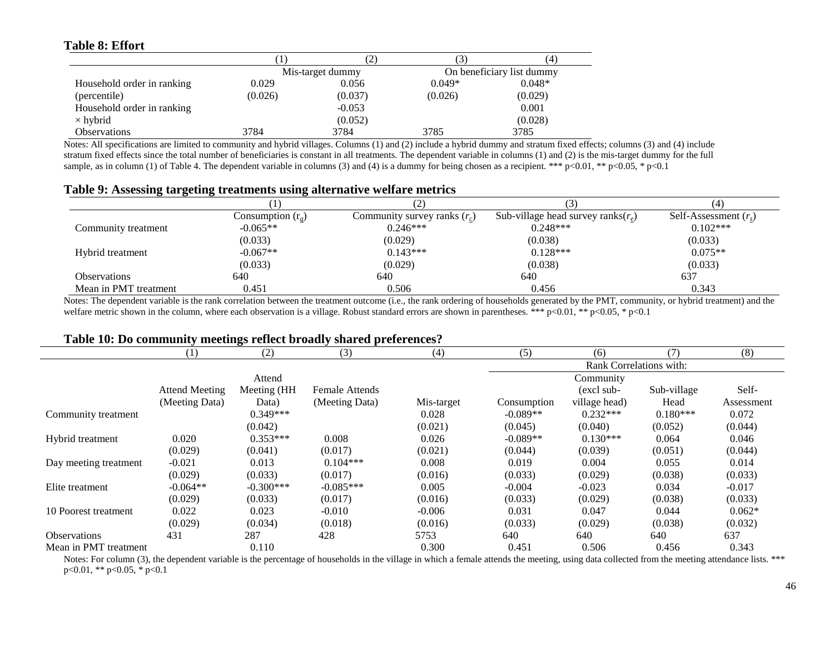# **Table 8: Effort**

J.

|                            |         | $\overline{L}$   |          | (4)                       |
|----------------------------|---------|------------------|----------|---------------------------|
|                            |         | Mis-target dummy |          | On beneficiary list dummy |
| Household order in ranking | 0.029   | 0.056            | $0.049*$ | $0.048*$                  |
| (percentile)               | (0.026) | (0.037)          | (0.026)  | (0.029)                   |
| Household order in ranking |         | $-0.053$         |          | 0.001                     |
| $\times$ hybrid            |         | (0.052)          |          | (0.028)                   |
| <b>Observations</b>        | 3784    | 3784             | 3785     | 3785                      |

Notes: All specifications are limited to community and hybrid villages. Columns (1) and (2) include a hybrid dummy and stratum fixed effects; columns (3) and (4) include stratum fixed effects since the total number of beneficiaries is constant in all treatments. The dependent variable in columns (1) and (2) is the mis-target dummy for the full sample, as in column (1) of Table 4. The dependent variable in columns (3) and (4) is a dummy for being chosen as a recipient. \*\*\* p<0.01, \*\* p<0.05, \* p<0.1

## **Table 9: Assessing targeting treatments using alternative welfare metrics**

|                       |                    |                                |                                       | $^{4}$                  |
|-----------------------|--------------------|--------------------------------|---------------------------------------|-------------------------|
|                       | Consumption $(re)$ | Community survey ranks $(r_c)$ | Sub-village head survey ranks $(r_e)$ | Self-Assessment $(r_s)$ |
| Community treatment   | $-0.065**$         | $0.246***$                     | $0.248***$                            | $0.102***$              |
|                       | (0.033)            | (0.029)                        | (0.038)                               | (0.033)                 |
| Hybrid treatment      | $-0.067**$         | $0.143***$                     | $0.128***$                            | $0.075**$               |
|                       | (0.033)            | (0.029)                        | (0.038)                               | (0.033)                 |
| Observations          | 640                | 640                            | 640                                   | 637                     |
| Mean in PMT treatment | 0.451              | 0.506                          | 0.456                                 | 0.343                   |

Notes: The dependent variable is the rank correlation between the treatment outcome (i.e., the rank ordering of households generated by the PMT, community, or hybrid treatment) and the welfare metric shown in the column, where each observation is a village. Robust standard errors are shown in parentheses. \*\*\* p<0.01, \*\* p<0.05, \* p<0.1

# **Table 10: Do community meetings reflect broadly shared preferences?**

|                       | (1)                   | (2)          | (3)                   | (4)        | (5)                     | (6)           | (7)         | (8)        |
|-----------------------|-----------------------|--------------|-----------------------|------------|-------------------------|---------------|-------------|------------|
|                       |                       |              |                       |            | Rank Correlations with: |               |             |            |
|                       |                       | Attend       |                       |            |                         | Community     |             |            |
|                       | <b>Attend Meeting</b> | Meeting (HH) | <b>Female Attends</b> |            |                         | (excl sub-    | Sub-village | Self-      |
|                       | (Meeting Data)        | Data)        | (Meeting Data)        | Mis-target | Consumption             | village head) | Head        | Assessment |
| Community treatment   |                       | $0.349***$   |                       | 0.028      | $-0.089**$              | $0.232***$    | $0.180***$  | 0.072      |
|                       |                       | (0.042)      |                       | (0.021)    | (0.045)                 | (0.040)       | (0.052)     | (0.044)    |
| Hybrid treatment      | 0.020                 | $0.353***$   | 0.008                 | 0.026      | $-0.089**$              | $0.130***$    | 0.064       | 0.046      |
|                       | (0.029)               | (0.041)      | (0.017)               | (0.021)    | (0.044)                 | (0.039)       | (0.051)     | (0.044)    |
| Day meeting treatment | $-0.021$              | 0.013        | $0.104***$            | 0.008      | 0.019                   | 0.004         | 0.055       | 0.014      |
|                       | (0.029)               | (0.033)      | (0.017)               | (0.016)    | (0.033)                 | (0.029)       | (0.038)     | (0.033)    |
| Elite treatment       | $-0.064**$            | $-0.300***$  | $-0.085***$           | 0.005      | $-0.004$                | $-0.023$      | 0.034       | $-0.017$   |
|                       | (0.029)               | (0.033)      | (0.017)               | (0.016)    | (0.033)                 | (0.029)       | (0.038)     | (0.033)    |
| 10 Poorest treatment  | 0.022                 | 0.023        | $-0.010$              | $-0.006$   | 0.031                   | 0.047         | 0.044       | $0.062*$   |
|                       | (0.029)               | (0.034)      | (0.018)               | (0.016)    | (0.033)                 | (0.029)       | (0.038)     | (0.032)    |
| <b>Observations</b>   | 431                   | 287          | 428                   | 5753       | 640                     | 640           | 640         | 637        |
| Mean in PMT treatment |                       | 0.110        |                       | 0.300      | 0.451                   | 0.506         | 0.456       | 0.343      |

Notes: For column (3), the dependent variable is the percentage of households in the village in which a female attends the meeting, using data collected from the meeting attendance lists. \*\*\* p<0.01, \*\* p<0.05, \* p<0.1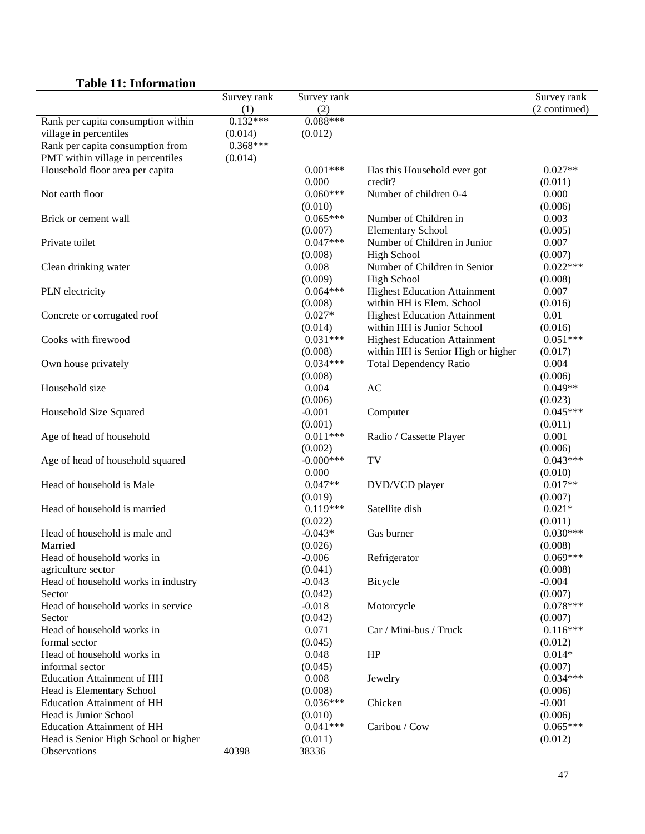|                                      | Survey rank           | Survey rank           |                                                                   | Survey rank           |
|--------------------------------------|-----------------------|-----------------------|-------------------------------------------------------------------|-----------------------|
|                                      | (1)                   | (2)<br>$0.088***$     |                                                                   | (2 continued)         |
| Rank per capita consumption within   | $0.132***$            |                       |                                                                   |                       |
| village in percentiles               | (0.014)<br>$0.368***$ | (0.012)               |                                                                   |                       |
| Rank per capita consumption from     |                       |                       |                                                                   |                       |
| PMT within village in percentiles    | (0.014)               |                       |                                                                   |                       |
| Household floor area per capita      |                       | $0.001***$            | Has this Household ever got                                       | $0.027**$             |
|                                      |                       | 0.000<br>$0.060***$   | credit?<br>Number of children 0-4                                 | (0.011)               |
| Not earth floor                      |                       |                       |                                                                   | 0.000                 |
|                                      |                       | (0.010)<br>$0.065***$ |                                                                   | (0.006)               |
| Brick or cement wall                 |                       |                       | Number of Children in                                             | 0.003                 |
|                                      |                       | (0.007)<br>$0.047***$ | <b>Elementary School</b><br>Number of Children in Junior          | (0.005)<br>0.007      |
| Private toilet                       |                       |                       |                                                                   |                       |
|                                      |                       | (0.008)               | <b>High School</b>                                                | (0.007)<br>$0.022***$ |
| Clean drinking water                 |                       | 0.008                 | Number of Children in Senior                                      |                       |
|                                      |                       | (0.009)<br>$0.064***$ | <b>High School</b><br><b>Highest Education Attainment</b>         | (0.008)<br>0.007      |
| PLN electricity                      |                       | (0.008)               | within HH is Elem. School                                         | (0.016)               |
|                                      |                       | $0.027*$              |                                                                   | 0.01                  |
| Concrete or corrugated roof          |                       | (0.014)               | <b>Highest Education Attainment</b><br>within HH is Junior School | (0.016)               |
| Cooks with firewood                  |                       | $0.031***$            | <b>Highest Education Attainment</b>                               | $0.051***$            |
|                                      |                       | (0.008)               | within HH is Senior High or higher                                | (0.017)               |
| Own house privately                  |                       | $0.034***$            | <b>Total Dependency Ratio</b>                                     | 0.004                 |
|                                      |                       | (0.008)               |                                                                   | (0.006)               |
| Household size                       |                       | 0.004                 | AC                                                                | $0.049**$             |
|                                      |                       | (0.006)               |                                                                   | (0.023)               |
| Household Size Squared               |                       | $-0.001$              | Computer                                                          | $0.045***$            |
|                                      |                       | (0.001)               |                                                                   | (0.011)               |
| Age of head of household             |                       | $0.011***$            | Radio / Cassette Player                                           | 0.001                 |
|                                      |                       | (0.002)               |                                                                   | (0.006)               |
| Age of head of household squared     |                       | $-0.000$ ***          | TV                                                                | $0.043***$            |
|                                      |                       | 0.000                 |                                                                   | (0.010)               |
| Head of household is Male            |                       | $0.047**$             | DVD/VCD player                                                    | $0.017**$             |
|                                      |                       | (0.019)               |                                                                   | (0.007)               |
| Head of household is married         |                       | $0.119***$            | Satellite dish                                                    | $0.021*$              |
|                                      |                       | (0.022)               |                                                                   | (0.011)               |
| Head of household is male and        |                       | $-0.043*$             | Gas burner                                                        | $0.030***$            |
| Married                              |                       | (0.026)               |                                                                   | (0.008)               |
| Head of household works in           |                       | $-0.006$              | Refrigerator                                                      | $0.069***$            |
| agriculture sector                   |                       | (0.041)               |                                                                   | (0.008)               |
| Head of household works in industry  |                       | $-0.043$              | Bicycle                                                           | $-0.004$              |
| Sector                               |                       | (0.042)               |                                                                   | (0.007)               |
| Head of household works in service   |                       | $-0.018$              | Motorcycle                                                        | $0.078***$            |
| Sector                               |                       | (0.042)               |                                                                   | (0.007)               |
| Head of household works in           |                       | 0.071                 | Car / Mini-bus / Truck                                            | $0.116***$            |
| formal sector                        |                       | (0.045)               |                                                                   | (0.012)               |
| Head of household works in           |                       | 0.048                 | HP                                                                | $0.014*$              |
| informal sector                      |                       | (0.045)               |                                                                   | (0.007)               |
| <b>Education Attainment of HH</b>    |                       | 0.008                 | Jewelry                                                           | $0.034***$            |
| Head is Elementary School            |                       | (0.008)               |                                                                   | (0.006)               |
| <b>Education Attainment of HH</b>    |                       | $0.036***$            | Chicken                                                           | $-0.001$              |
| Head is Junior School                |                       | (0.010)               |                                                                   | (0.006)               |
| <b>Education Attainment of HH</b>    |                       | $0.041***$            | Caribou / Cow                                                     | $0.065***$            |
| Head is Senior High School or higher |                       | (0.011)               |                                                                   | (0.012)               |
| Observations                         | 40398                 | 38336                 |                                                                   |                       |

# **Table 11: Information**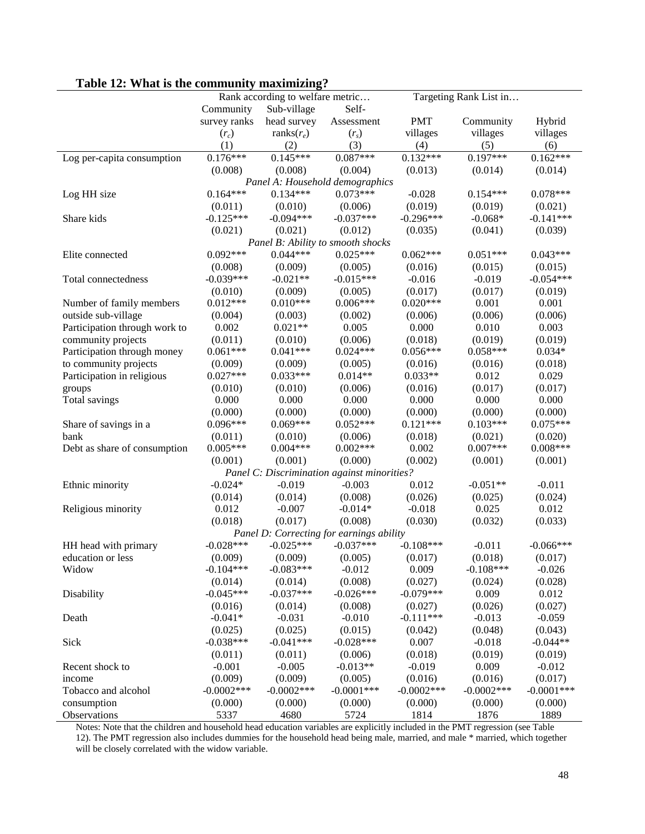|                               |              | Rank according to welfare metric |                                             |               | Targeting Rank List in |               |
|-------------------------------|--------------|----------------------------------|---------------------------------------------|---------------|------------------------|---------------|
|                               | Community    | Sub-village                      | Self-                                       |               |                        |               |
|                               | survey ranks | head survey                      | Assessment                                  | <b>PMT</b>    | Community              | Hybrid        |
|                               |              | ranks $(r_e)$                    |                                             |               | villages               | villages      |
|                               | $(r_c)$      |                                  | (r <sub>s</sub> )                           | villages      |                        |               |
|                               | (1)          | (2)                              | (3)                                         | (4)           | (5)                    | (6)           |
| Log per-capita consumption    | $0.176***$   | $0.145***$                       | $0.087***$                                  | $0.132***$    | $0.197***$             | $0.162***$    |
|                               | (0.008)      | (0.008)                          | (0.004)                                     | (0.013)       | (0.014)                | (0.014)       |
|                               |              |                                  | Panel A: Household demographics             |               |                        |               |
| Log HH size                   | $0.164***$   | $0.134***$                       | $0.073***$                                  | $-0.028$      | $0.154***$             | $0.078***$    |
|                               | (0.011)      | (0.010)                          | (0.006)                                     | (0.019)       | (0.019)                | (0.021)       |
| Share kids                    | $-0.125***$  | $-0.094***$                      | $-0.037***$                                 | $-0.296***$   | $-0.068*$              | $-0.141***$   |
|                               | (0.021)      | (0.021)                          | (0.012)                                     | (0.035)       | (0.041)                | (0.039)       |
|                               |              |                                  | Panel B: Ability to smooth shocks           |               |                        |               |
| Elite connected               | $0.092***$   | $0.044***$                       | $0.025***$                                  | $0.062***$    | $0.051***$             | $0.043***$    |
|                               | (0.008)      | (0.009)                          | (0.005)                                     | (0.016)       | (0.015)                | (0.015)       |
| Total connectedness           | $-0.039***$  | $-0.021**$                       | $-0.015***$                                 | $-0.016$      | $-0.019$               | $-0.054***$   |
|                               | (0.010)      | (0.009)                          | (0.005)                                     | (0.017)       | (0.017)                | (0.019)       |
| Number of family members      | $0.012***$   | $0.010***$                       | $0.006***$                                  | $0.020***$    | 0.001                  | 0.001         |
| outside sub-village           | (0.004)      | (0.003)                          | (0.002)                                     | (0.006)       | (0.006)                | (0.006)       |
| Participation through work to | 0.002        | $0.021**$                        | 0.005                                       | 0.000         | 0.010                  | 0.003         |
| community projects            | (0.011)      | (0.010)                          | (0.006)                                     | (0.018)       | (0.019)                | (0.019)       |
| Participation through money   | $0.061***$   | $0.041***$                       | $0.024***$                                  | $0.056***$    | $0.058***$             | $0.034*$      |
| to community projects         | (0.009)      | (0.009)                          | (0.005)                                     | (0.016)       | (0.016)                | (0.018)       |
| Participation in religious    | $0.027***$   | $0.033***$                       | $0.014**$                                   | $0.033**$     | 0.012                  | 0.029         |
| groups                        | (0.010)      | (0.010)                          | (0.006)                                     | (0.016)       | (0.017)                | (0.017)       |
| Total savings                 | 0.000        | 0.000                            | 0.000                                       | 0.000         | 0.000                  | 0.000         |
|                               | (0.000)      | (0.000)                          | (0.000)                                     | (0.000)       | (0.000)                | (0.000)       |
| Share of savings in a         | $0.096***$   | $0.069***$                       | $0.052***$                                  | $0.121***$    | $0.103***$             | $0.075***$    |
| bank                          | (0.011)      | (0.010)                          | (0.006)                                     | (0.018)       | (0.021)                | (0.020)       |
| Debt as share of consumption  | $0.005***$   | $0.004***$                       | $0.002***$                                  | 0.002         | $0.007***$             | $0.008***$    |
|                               | (0.001)      | (0.001)                          | (0.000)                                     | (0.002)       | (0.001)                | (0.001)       |
|                               |              |                                  | Panel C: Discrimination against minorities? |               |                        |               |
| Ethnic minority               | $-0.024*$    | $-0.019$                         | $-0.003$                                    | 0.012         | $-0.051**$             | $-0.011$      |
|                               | (0.014)      | (0.014)                          | (0.008)                                     | (0.026)       | (0.025)                | (0.024)       |
| Religious minority            | 0.012        | $-0.007$                         | $-0.014*$                                   | $-0.018$      | 0.025                  | 0.012         |
|                               | (0.018)      | (0.017)                          | (0.008)                                     | (0.030)       | (0.032)                | (0.033)       |
|                               |              |                                  | Panel D: Correcting for earnings ability    |               |                        |               |
| HH head with primary          | $-0.028***$  | $-0.025***$                      | $-0.037***$                                 | $-0.108***$   | $-0.011$               | $-0.066***$   |
| education or less             |              | (0.009)                          | (0.005)                                     |               |                        | (0.017)       |
|                               | (0.009)      | $-0.083***$                      |                                             | (0.017)       | (0.018)<br>$-0.108***$ |               |
| Widow                         | $-0.104***$  |                                  | $-0.012$                                    | 0.009         |                        | $-0.026$      |
|                               | (0.014)      | (0.014)                          | (0.008)                                     | (0.027)       | (0.024)                | (0.028)       |
| Disability                    | $-0.045***$  | $-0.037***$                      | $-0.026***$                                 | $-0.079***$   | 0.009                  | 0.012         |
|                               | (0.016)      | (0.014)                          | (0.008)                                     | (0.027)       | (0.026)                | (0.027)       |
| Death                         | $-0.041*$    | $-0.031$                         | $-0.010$                                    | $-0.111***$   | $-0.013$               | $-0.059$      |
|                               | (0.025)      | (0.025)                          | (0.015)                                     | (0.042)       | (0.048)                | (0.043)       |
| Sick                          | $-0.038***$  | $-0.041***$                      | $-0.028***$                                 | 0.007         | $-0.018$               | $-0.044**$    |
|                               | (0.011)      | (0.011)                          | (0.006)                                     | (0.018)       | (0.019)                | (0.019)       |
| Recent shock to               | $-0.001$     | $-0.005$                         | $-0.013**$                                  | $-0.019$      | 0.009                  | $-0.012$      |
| income                        | (0.009)      | (0.009)                          | (0.005)                                     | (0.016)       | (0.016)                | (0.017)       |
| Tobacco and alcohol           | $-0.0002***$ | $-0.0002$ ***                    | $-0.0001***$                                | $-0.0002$ *** | $-0.0002$ ***          | $-0.0001$ *** |
| consumption                   | (0.000)      | (0.000)                          | (0.000)                                     | (0.000)       | (0.000)                | (0.000)       |
| Observations                  | 5337         | 4680                             | 5724                                        | 1814          | 1876                   | 1889          |

# **Table 12: What is the community maximizing?**

Notes: Note that the children and household head education variables are explicitly included in the PMT regression (see Table 12). The PMT regression also includes dummies for the household head being male, married, and male \* married, which together will be closely correlated with the widow variable.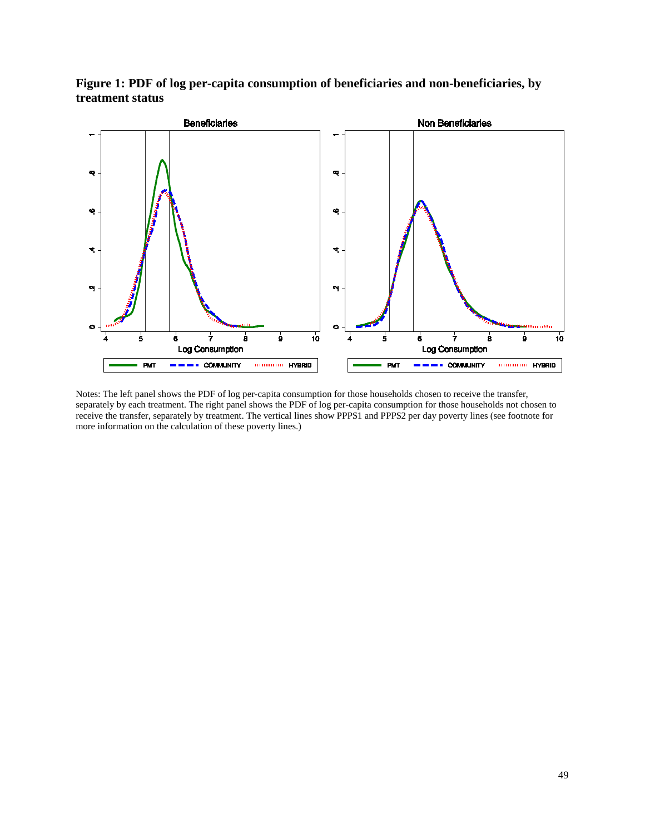**Figure 1: PDF of log per-capita consumption of beneficiaries and non-beneficiaries, by treatment status**



Notes: The left panel shows the PDF of log per-capita consumption for those households chosen to receive the transfer, separately by each treatment. The right panel shows the PDF of log per-capita consumption for those households not chosen to receive the transfer, separately by treatment. The vertical lines show PPP\$1 and PPP\$2 per day poverty lines (see footnote for more information on the calculation of these poverty lines.)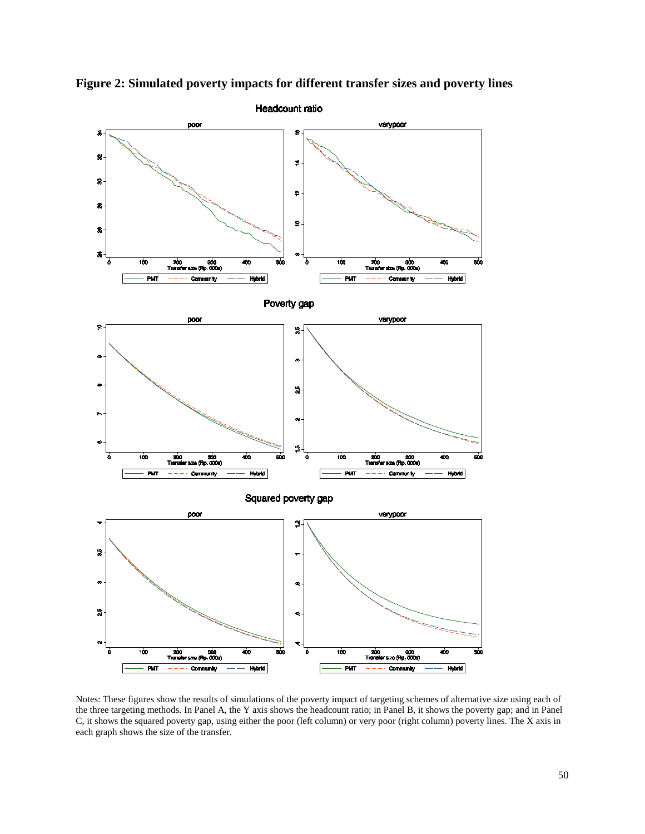

**Figure 2: Simulated poverty impacts for different transfer sizes and poverty lines**

Notes: These figures show the results of simulations of the poverty impact of targeting schemes of alternative size using each of the three targeting methods. In Panel A, the Y axis shows the headcount ratio; in Panel B, it shows the poverty gap; and in Panel C, it shows the squared poverty gap, using either the poor (left column) or very poor (right column) poverty lines. The X axis in each graph shows the size of the transfer.